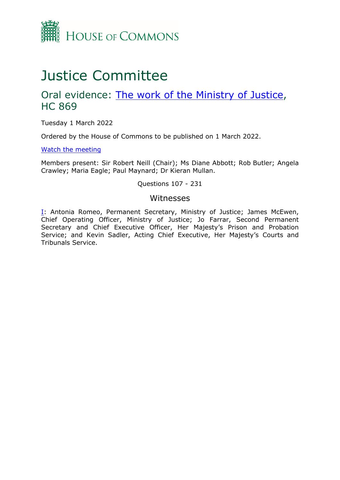

# Justice Committee

## Oral evidence: [The](https://committees.parliament.uk/work/1115/the-work-of-the-ministry-of-justice/) [work](https://committees.parliament.uk/work/1115/the-work-of-the-ministry-of-justice/) [of](https://committees.parliament.uk/work/1115/the-work-of-the-ministry-of-justice/) [the](https://committees.parliament.uk/work/1115/the-work-of-the-ministry-of-justice/) [Ministry](https://committees.parliament.uk/work/1115/the-work-of-the-ministry-of-justice/) [of](https://committees.parliament.uk/work/1115/the-work-of-the-ministry-of-justice/) [Justice](https://committees.parliament.uk/work/1115/the-work-of-the-ministry-of-justice/), HC 869

Tuesday 1 March 2022

Ordered by the House of Commons to be published on 1 March 2022.

[Watch](https://www.parliamentlive.tv/Event/Index/8b25a646-425b-4aac-8f63-58d5ea9aa89b) [the](https://www.parliamentlive.tv/Event/Index/8b25a646-425b-4aac-8f63-58d5ea9aa89b) [meeting](https://www.parliamentlive.tv/Event/Index/8b25a646-425b-4aac-8f63-58d5ea9aa89b)

Members present: Sir Robert Neill (Chair); Ms Diane Abbott; Rob Butler; Angela Crawley; Maria Eagle; Paul Maynard; Dr Kieran Mullan.

#### Questions 107 - 231

#### Witnesses

[I:](#page-1-0) Antonia Romeo, Permanent Secretary, Ministry of Justice; James McEwen, Chief Operating Officer, Ministry of Justice; Jo Farrar, Second Permanent Secretary and Chief Executive Officer, Her Majesty's Prison and Probation Service; and Kevin Sadler, Acting Chief Executive, Her Majesty's Courts and Tribunals Service.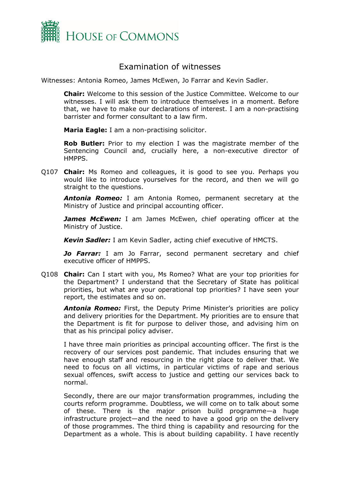

### <span id="page-1-0"></span>Examination of witnesses

Witnesses: Antonia Romeo, James McEwen, Jo Farrar and Kevin Sadler.

**Chair:** Welcome to this session of the Justice Committee. Welcome to our witnesses. I will ask them to introduce themselves in a moment. Before that, we have to make our declarations of interest. I am a non-practising barrister and former consultant to a law firm.

**Maria Eagle:** I am a non-practising solicitor.

**Rob Butler:** Prior to my election I was the magistrate member of the Sentencing Council and, crucially here, a non-executive director of HMPPS.

Q107 **Chair:** Ms Romeo and colleagues, it is good to see you. Perhaps you would like to introduce yourselves for the record, and then we will go straight to the questions.

*Antonia Romeo:* I am Antonia Romeo, permanent secretary at the Ministry of Justice and principal accounting officer.

**James McEwen:** I am James McEwen, chief operating officer at the Ministry of Justice.

*Kevin Sadler:* I am Kevin Sadler, acting chief executive of HMCTS.

*Jo Farrar:* I am Jo Farrar, second permanent secretary and chief executive officer of HMPPS.

Q108 **Chair:** Can I start with you, Ms Romeo? What are your top priorities for the Department? I understand that the Secretary of State has political priorities, but what are your operational top priorities? I have seen your report, the estimates and so on.

*Antonia Romeo:* First, the Deputy Prime Minister's priorities are policy and delivery priorities for the Department. My priorities are to ensure that the Department is fit for purpose to deliver those, and advising him on that as his principal policy adviser.

I have three main priorities as principal accounting officer. The first is the recovery of our services post pandemic. That includes ensuring that we have enough staff and resourcing in the right place to deliver that. We need to focus on all victims, in particular victims of rape and serious sexual offences, swift access to justice and getting our services back to normal.

Secondly, there are our major transformation programmes, including the courts reform programme. Doubtless, we will come on to talk about some of these. There is the major prison build programme—a huge infrastructure project—and the need to have a good grip on the delivery of those programmes. The third thing is capability and resourcing for the Department as a whole. This is about building capability. I have recently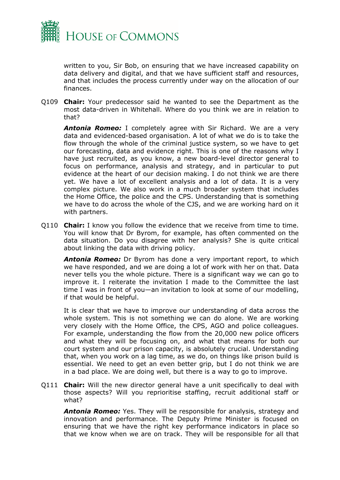

written to you, Sir Bob, on ensuring that we have increased capability on data delivery and digital, and that we have sufficient staff and resources, and that includes the process currently under way on the allocation of our finances.

Q109 **Chair:** Your predecessor said he wanted to see the Department as the most data-driven in Whitehall. Where do you think we are in relation to that?

*Antonia Romeo:* I completely agree with Sir Richard. We are a very data and evidenced-based organisation. A lot of what we do is to take the flow through the whole of the criminal justice system, so we have to get our forecasting, data and evidence right. This is one of the reasons why I have just recruited, as you know, a new board-level director general to focus on performance, analysis and strategy, and in particular to put evidence at the heart of our decision making. I do not think we are there yet. We have a lot of excellent analysis and a lot of data. It is a very complex picture. We also work in a much broader system that includes the Home Office, the police and the CPS. Understanding that is something we have to do across the whole of the CJS, and we are working hard on it with partners.

Q110 **Chair:** I know you follow the evidence that we receive from time to time. You will know that Dr Byrom, for example, has often commented on the data situation. Do you disagree with her analysis? She is quite critical about linking the data with driving policy.

**Antonia Romeo:** Dr Byrom has done a very important report, to which we have responded, and we are doing a lot of work with her on that. Data never tells you the whole picture. There is a significant way we can go to improve it. I reiterate the invitation I made to the Committee the last time I was in front of you—an invitation to look at some of our modelling, if that would be helpful.

It is clear that we have to improve our understanding of data across the whole system. This is not something we can do alone. We are working very closely with the Home Office, the CPS, AGO and police colleagues. For example, understanding the flow from the 20,000 new police officers and what they will be focusing on, and what that means for both our court system and our prison capacity, is absolutely crucial. Understanding that, when you work on a lag time, as we do, on things like prison build is essential. We need to get an even better grip, but I do not think we are in a bad place. We are doing well, but there is a way to go to improve.

Q111 **Chair:** Will the new director general have a unit specifically to deal with those aspects? Will you reprioritise staffing, recruit additional staff or what?

*Antonia Romeo:* Yes. They will be responsible for analysis, strategy and innovation and performance. The Deputy Prime Minister is focused on ensuring that we have the right key performance indicators in place so that we know when we are on track. They will be responsible for all that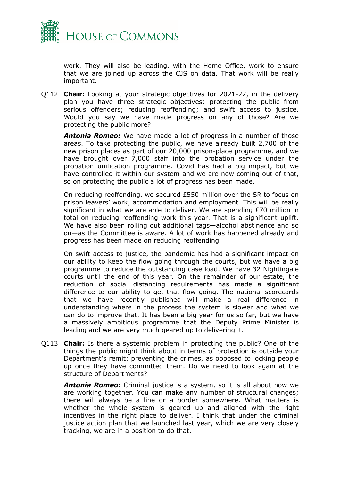

work. They will also be leading, with the Home Office, work to ensure that we are joined up across the CJS on data. That work will be really important.

Q112 **Chair:** Looking at your strategic objectives for 2021-22, in the delivery plan you have three strategic objectives: protecting the public from serious offenders; reducing reoffending; and swift access to justice. Would you say we have made progress on any of those? Are we protecting the public more?

*Antonia Romeo:* We have made a lot of progress in a number of those areas. To take protecting the public, we have already built 2,700 of the new prison places as part of our 20,000 prison-place programme, and we have brought over 7,000 staff into the probation service under the probation unification programme. Covid has had a big impact, but we have controlled it within our system and we are now coming out of that, so on protecting the public a lot of progress has been made.

On reducing reoffending, we secured £550 million over the SR to focus on prison leavers' work, accommodation and employment. This will be really significant in what we are able to deliver. We are spending £70 million in total on reducing reoffending work this year. That is a significant uplift. We have also been rolling out additional tags—alcohol abstinence and so on—as the Committee is aware. A lot of work has happened already and progress has been made on reducing reoffending.

On swift access to justice, the pandemic has had a significant impact on our ability to keep the flow going through the courts, but we have a big programme to reduce the outstanding case load. We have 32 Nightingale courts until the end of this year. On the remainder of our estate, the reduction of social distancing requirements has made a significant difference to our ability to get that flow going. The national scorecards that we have recently published will make a real difference in understanding where in the process the system is slower and what we can do to improve that. It has been a big year for us so far, but we have a massively ambitious programme that the Deputy Prime Minister is leading and we are very much geared up to delivering it.

Q113 **Chair:** Is there a systemic problem in protecting the public? One of the things the public might think about in terms of protection is outside your Department's remit: preventing the crimes, as opposed to locking people up once they have committed them. Do we need to look again at the structure of Departments?

*Antonia Romeo:* Criminal justice is a system, so it is all about how we are working together. You can make any number of structural changes; there will always be a line or a border somewhere. What matters is whether the whole system is geared up and aligned with the right incentives in the right place to deliver. I think that under the criminal justice action plan that we launched last year, which we are very closely tracking, we are in a position to do that.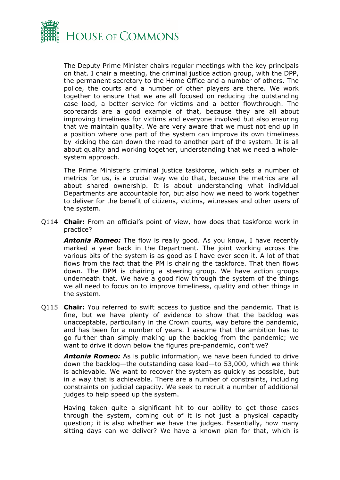

The Deputy Prime Minister chairs regular meetings with the key principals on that. I chair a meeting, the criminal justice action group, with the DPP, the permanent secretary to the Home Office and a number of others. The police, the courts and a number of other players are there. We work together to ensure that we are all focused on reducing the outstanding case load, a better service for victims and a better flowthrough. The scorecards are a good example of that, because they are all about improving timeliness for victims and everyone involved but also ensuring that we maintain quality. We are very aware that we must not end up in a position where one part of the system can improve its own timeliness by kicking the can down the road to another part of the system. It is all about quality and working together, understanding that we need a wholesystem approach.

The Prime Minister's criminal justice taskforce, which sets a number of metrics for us, is a crucial way we do that, because the metrics are all about shared ownership. It is about understanding what individual Departments are accountable for, but also how we need to work together to deliver for the benefit of citizens, victims, witnesses and other users of the system.

Q114 **Chair:** From an official's point of view, how does that taskforce work in practice?

*Antonia Romeo:* The flow is really good. As you know, I have recently marked a year back in the Department. The joint working across the various bits of the system is as good as I have ever seen it. A lot of that flows from the fact that the PM is chairing the taskforce. That then flows down. The DPM is chairing a steering group. We have action groups underneath that. We have a good flow through the system of the things we all need to focus on to improve timeliness, quality and other things in the system.

Q115 **Chair:** You referred to swift access to justice and the pandemic. That is fine, but we have plenty of evidence to show that the backlog was unacceptable, particularly in the Crown courts, way before the pandemic, and has been for a number of years. I assume that the ambition has to go further than simply making up the backlog from the pandemic; we want to drive it down below the figures pre-pandemic, don't we?

*Antonia Romeo:* As is public information, we have been funded to drive down the backlog—the outstanding case load—to 53,000, which we think is achievable. We want to recover the system as quickly as possible, but in a way that is achievable. There are a number of constraints, including constraints on judicial capacity. We seek to recruit a number of additional judges to help speed up the system.

Having taken quite a significant hit to our ability to get those cases through the system, coming out of it is not just a physical capacity question; it is also whether we have the judges. Essentially, how many sitting days can we deliver? We have a known plan for that, which is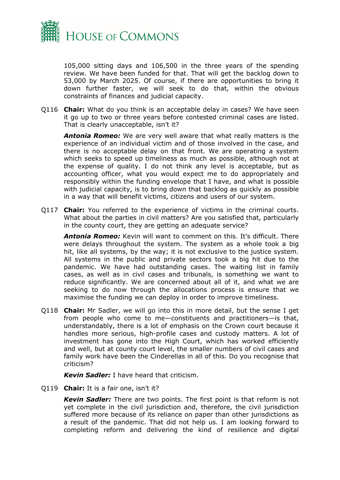

105,000 sitting days and 106,500 in the three years of the spending review. We have been funded for that. That will get the backlog down to 53,000 by March 2025. Of course, if there are opportunities to bring it down further faster, we will seek to do that, within the obvious constraints of finances and judicial capacity.

Q116 **Chair:** What do you think is an acceptable delay in cases? We have seen it go up to two or three years before contested criminal cases are listed. That is clearly unacceptable, isn't it?

*Antonia Romeo:* We are very well aware that what really matters is the experience of an individual victim and of those involved in the case, and there is no acceptable delay on that front. We are operating a system which seeks to speed up timeliness as much as possible, although not at the expense of quality. I do not think any level is acceptable, but as accounting officer, what you would expect me to do appropriately and responsibly within the funding envelope that I have, and what is possible with judicial capacity, is to bring down that backlog as quickly as possible in a way that will benefit victims, citizens and users of our system.

Q117 **Chair:** You referred to the experience of victims in the criminal courts. What about the parties in civil matters? Are you satisfied that, particularly in the county court, they are getting an adequate service?

*Antonia Romeo:* Kevin will want to comment on this. It's difficult. There were delays throughout the system. The system as a whole took a big hit, like all systems, by the way; it is not exclusive to the justice system. All systems in the public and private sectors took a big hit due to the pandemic. We have had outstanding cases. The waiting list in family cases, as well as in civil cases and tribunals, is something we want to reduce significantly. We are concerned about all of it, and what we are seeking to do now through the allocations process is ensure that we maximise the funding we can deploy in order to improve timeliness.

Q118 **Chair:** Mr Sadler, we will go into this in more detail, but the sense I get from people who come to me—constituents and practitioners—is that, understandably, there is a lot of emphasis on the Crown court because it handles more serious, high-profile cases and custody matters. A lot of investment has gone into the High Court, which has worked efficiently and well, but at county court level, the smaller numbers of civil cases and family work have been the Cinderellas in all of this. Do you recognise that criticism?

*Kevin Sadler:* I have heard that criticism.

Q119 **Chair:** It is a fair one, isn't it?

*Kevin Sadler:* There are two points. The first point is that reform is not yet complete in the civil jurisdiction and, therefore, the civil jurisdiction suffered more because of its reliance on paper than other jurisdictions as a result of the pandemic. That did not help us. I am looking forward to completing reform and delivering the kind of resilience and digital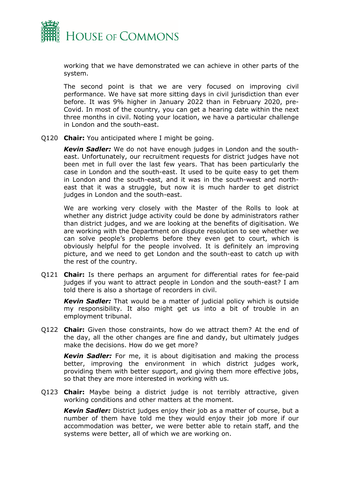

working that we have demonstrated we can achieve in other parts of the system.

The second point is that we are very focused on improving civil performance. We have sat more sitting days in civil jurisdiction than ever before. It was 9% higher in January 2022 than in February 2020, pre-Covid. In most of the country, you can get a hearing date within the next three months in civil. Noting your location, we have a particular challenge in London and the south-east.

Q120 **Chair:** You anticipated where I might be going.

*Kevin Sadler:* We do not have enough judges in London and the southeast. Unfortunately, our recruitment requests for district judges have not been met in full over the last few years. That has been particularly the case in London and the south-east. It used to be quite easy to get them in London and the south-east, and it was in the south-west and northeast that it was a struggle, but now it is much harder to get district judges in London and the south-east.

We are working very closely with the Master of the Rolls to look at whether any district judge activity could be done by administrators rather than district judges, and we are looking at the benefits of digitisation. We are working with the Department on dispute resolution to see whether we can solve people's problems before they even get to court, which is obviously helpful for the people involved. It is definitely an improving picture, and we need to get London and the south-east to catch up with the rest of the country.

Q121 **Chair:** Is there perhaps an argument for differential rates for fee-paid judges if you want to attract people in London and the south-east? I am told there is also a shortage of recorders in civil.

*Kevin Sadler:* That would be a matter of judicial policy which is outside my responsibility. It also might get us into a bit of trouble in an employment tribunal.

Q122 **Chair:** Given those constraints, how do we attract them? At the end of the day, all the other changes are fine and dandy, but ultimately judges make the decisions. How do we get more?

*Kevin Sadler:* For me, it is about digitisation and making the process better, improving the environment in which district judges work, providing them with better support, and giving them more effective jobs, so that they are more interested in working with us.

Q123 **Chair:** Maybe being a district judge is not terribly attractive, given working conditions and other matters at the moment.

*Kevin Sadler:* District judges enjoy their job as a matter of course, but a number of them have told me they would enjoy their job more if our accommodation was better, we were better able to retain staff, and the systems were better, all of which we are working on.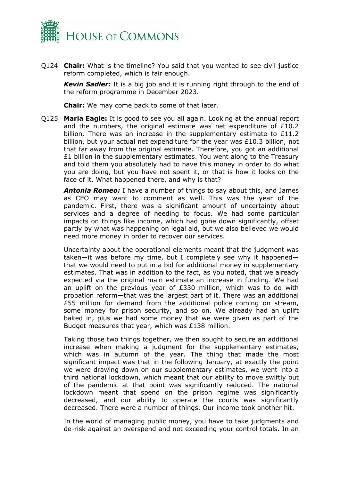

Q124 **Chair:** What is the timeline? You said that you wanted to see civil justice reform completed, which is fair enough.

*Kevin Sadler:* It is a big job and it is running right through to the end of the reform programme in December 2023.

**Chair:** We may come back to some of that later.

Q125 **Maria Eagle:** It is good to see you all again. Looking at the annual report and the numbers, the original estimate was net expenditure of  $£10.2$ billion. There was an increase in the supplementary estimate to £11.2 billion, but your actual net expenditure for the year was £10.3 billion, not that far away from the original estimate. Therefore, you got an additional £1 billion in the supplementary estimates. You went along to the Treasury and told them you absolutely had to have this money in order to do what you are doing, but you have not spent it, or that is how it looks on the face of it. What happened there, and why is that?

*Antonia Romeo:* I have a number of things to say about this, and James as CEO may want to comment as well. This was the year of the pandemic. First, there was a significant amount of uncertainty about services and a degree of needing to focus. We had some particular impacts on things like income, which had gone down significantly, offset partly by what was happening on legal aid, but we also believed we would need more money in order to recover our services.

Uncertainty about the operational elements meant that the judgment was taken—it was before my time, but I completely see why it happened that we would need to put in a bid for additional money in supplementary estimates. That was in addition to the fact, as you noted, that we already expected via the original main estimate an increase in funding. We had an uplift on the previous year of £330 million, which was to do with probation reform—that was the largest part of it. There was an additional £55 million for demand from the additional police coming on stream, some money for prison security, and so on. We already had an uplift baked in, plus we had some money that we were given as part of the Budget measures that year, which was £138 million.

Taking those two things together, we then sought to secure an additional increase when making a judgment for the supplementary estimates, which was in autumn of the year. The thing that made the most significant impact was that in the following January, at exactly the point we were drawing down on our supplementary estimates, we went into a third national lockdown, which meant that our ability to move swiftly out of the pandemic at that point was significantly reduced. The national lockdown meant that spend on the prison regime was significantly decreased, and our ability to operate the courts was significantly decreased. There were a number of things. Our income took another hit.

In the world of managing public money, you have to take judgments and de-risk against an overspend and not exceeding your control totals. In an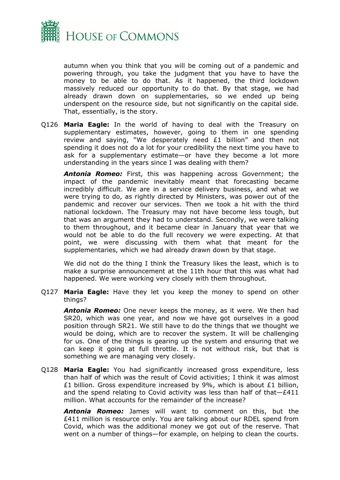

autumn when you think that you will be coming out of a pandemic and powering through, you take the judgment that you have to have the money to be able to do that. As it happened, the third lockdown massively reduced our opportunity to do that. By that stage, we had already drawn down on supplementaries, so we ended up being underspent on the resource side, but not significantly on the capital side. That, essentially, is the story.

Q126 **Maria Eagle:** In the world of having to deal with the Treasury on supplementary estimates, however, going to them in one spending review and saying, "We desperately need £1 billion" and then not spending it does not do a lot for your credibility the next time you have to ask for a supplementary estimate—or have they become a lot more understanding in the years since I was dealing with them?

*Antonia Romeo:* First, this was happening across Government; the impact of the pandemic inevitably meant that forecasting became incredibly difficult. We are in a service delivery business, and what we were trying to do, as rightly directed by Ministers, was power out of the pandemic and recover our services. Then we took a hit with the third national lockdown. The Treasury may not have become less tough, but that was an argument they had to understand. Secondly, we were talking to them throughout, and it became clear in January that year that we would not be able to do the full recovery we were expecting. At that point, we were discussing with them what that meant for the supplementaries, which we had already drawn down by that stage.

We did not do the thing I think the Treasury likes the least, which is to make a surprise announcement at the 11th hour that this was what had happened. We were working very closely with them throughout.

Q127 **Maria Eagle:** Have they let you keep the money to spend on other things?

*Antonia Romeo:* One never keeps the money, as it were. We then had SR20, which was one year, and now we have got ourselves in a good position through SR21. We still have to do the things that we thought we would be doing, which are to recover the system. It will be challenging for us. One of the things is gearing up the system and ensuring that we can keep it going at full throttle. It is not without risk, but that is something we are managing very closely.

Q128 **Maria Eagle:** You had significantly increased gross expenditure, less than half of which was the result of Covid activities; I think it was almost £1 billion. Gross expenditure increased by 9%, which is about £1 billion, and the spend relating to Covid activity was less than half of that—£411 million. What accounts for the remainder of the increase?

*Antonia Romeo:* James will want to comment on this, but the £411 million is resource only. You are talking about our RDEL spend from Covid, which was the additional money we got out of the reserve. That went on a number of things—for example, on helping to clean the courts.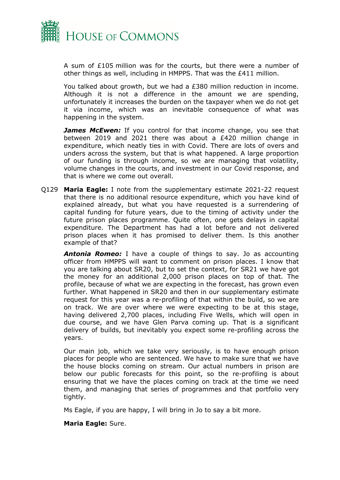

A sum of £105 million was for the courts, but there were a number of other things as well, including in HMPPS. That was the £411 million.

You talked about growth, but we had a £380 million reduction in income. Although it is not a difference in the amount we are spending, unfortunately it increases the burden on the taxpayer when we do not get it via income, which was an inevitable consequence of what was happening in the system.

*James McEwen:* If you control for that income change, you see that between 2019 and 2021 there was about a £420 million change in expenditure, which neatly ties in with Covid. There are lots of overs and unders across the system, but that is what happened. A large proportion of our funding is through income, so we are managing that volatility, volume changes in the courts, and investment in our Covid response, and that is where we come out overall.

Q129 **Maria Eagle:** I note from the supplementary estimate 2021-22 request that there is no additional resource expenditure, which you have kind of explained already, but what you have requested is a surrendering of capital funding for future years, due to the timing of activity under the future prison places programme. Quite often, one gets delays in capital expenditure. The Department has had a lot before and not delivered prison places when it has promised to deliver them. Is this another example of that?

*Antonia Romeo:* I have a couple of things to say. Jo as accounting officer from HMPPS will want to comment on prison places. I know that you are talking about SR20, but to set the context, for SR21 we have got the money for an additional 2,000 prison places on top of that. The profile, because of what we are expecting in the forecast, has grown even further. What happened in SR20 and then in our supplementary estimate request for this year was a re-profiling of that within the build, so we are on track. We are over where we were expecting to be at this stage, having delivered 2,700 places, including Five Wells, which will open in due course, and we have Glen Parva coming up. That is a significant delivery of builds, but inevitably you expect some re-profiling across the years.

Our main job, which we take very seriously, is to have enough prison places for people who are sentenced. We have to make sure that we have the house blocks coming on stream. Our actual numbers in prison are below our public forecasts for this point, so the re-profiling is about ensuring that we have the places coming on track at the time we need them, and managing that series of programmes and that portfolio very tightly.

Ms Eagle, if you are happy, I will bring in Jo to say a bit more.

#### **Maria Eagle:** Sure.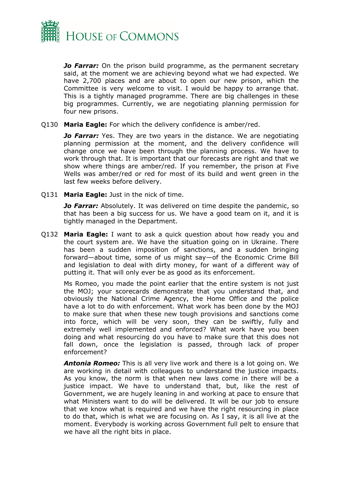

*Jo Farrar:* On the prison build programme, as the permanent secretary said, at the moment we are achieving beyond what we had expected. We have 2,700 places and are about to open our new prison, which the Committee is very welcome to visit. I would be happy to arrange that. This is a tightly managed programme. There are big challenges in these big programmes. Currently, we are negotiating planning permission for four new prisons.

Q130 **Maria Eagle:** For which the delivery confidence is amber/red.

*Jo Farrar:* Yes. They are two years in the distance. We are negotiating planning permission at the moment, and the delivery confidence will change once we have been through the planning process. We have to work through that. It is important that our forecasts are right and that we show where things are amber/red. If you remember, the prison at Five Wells was amber/red or red for most of its build and went green in the last few weeks before delivery.

Q131 **Maria Eagle:** Just in the nick of time.

*Jo Farrar:* Absolutely. It was delivered on time despite the pandemic, so that has been a big success for us. We have a good team on it, and it is tightly managed in the Department.

Q132 **Maria Eagle:** I want to ask a quick question about how ready you and the court system are. We have the situation going on in Ukraine. There has been a sudden imposition of sanctions, and a sudden bringing forward—about time, some of us might say—of the Economic Crime Bill and legislation to deal with dirty money, for want of a different way of putting it. That will only ever be as good as its enforcement.

Ms Romeo, you made the point earlier that the entire system is not just the MOJ; your scorecards demonstrate that you understand that, and obviously the National Crime Agency, the Home Office and the police have a lot to do with enforcement. What work has been done by the MOJ to make sure that when these new tough provisions and sanctions come into force, which will be very soon, they can be swiftly, fully and extremely well implemented and enforced? What work have you been doing and what resourcing do you have to make sure that this does not fall down, once the legislation is passed, through lack of proper enforcement?

*Antonia Romeo:* This is all very live work and there is a lot going on. We are working in detail with colleagues to understand the justice impacts. As you know, the norm is that when new laws come in there will be a justice impact. We have to understand that, but, like the rest of Government, we are hugely leaning in and working at pace to ensure that what Ministers want to do will be delivered. It will be our job to ensure that we know what is required and we have the right resourcing in place to do that, which is what we are focusing on. As I say, it is all live at the moment. Everybody is working across Government full pelt to ensure that we have all the right bits in place.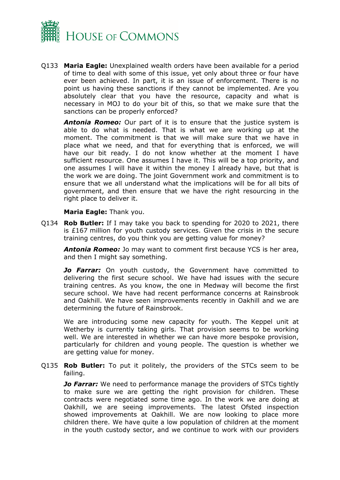

Q133 **Maria Eagle:** Unexplained wealth orders have been available for a period of time to deal with some of this issue, yet only about three or four have ever been achieved. In part, it is an issue of enforcement. There is no point us having these sanctions if they cannot be implemented. Are you absolutely clear that you have the resource, capacity and what is necessary in MOJ to do your bit of this, so that we make sure that the sanctions can be properly enforced?

*Antonia Romeo:* Our part of it is to ensure that the justice system is able to do what is needed. That is what we are working up at the moment. The commitment is that we will make sure that we have in place what we need, and that for everything that is enforced, we will have our bit ready. I do not know whether at the moment I have sufficient resource. One assumes I have it. This will be a top priority, and one assumes I will have it within the money I already have, but that is the work we are doing. The joint Government work and commitment is to ensure that we all understand what the implications will be for all bits of government, and then ensure that we have the right resourcing in the right place to deliver it.

#### **Maria Eagle:** Thank you.

Q134 **Rob Butler:** If I may take you back to spending for 2020 to 2021, there is £167 million for youth custody services. Given the crisis in the secure training centres, do you think you are getting value for money?

*Antonia Romeo:* Jo may want to comment first because YCS is her area, and then I might say something.

*Jo Farrar:* On youth custody, the Government have committed to delivering the first secure school. We have had issues with the secure training centres. As you know, the one in Medway will become the first secure school. We have had recent performance concerns at Rainsbrook and Oakhill. We have seen improvements recently in Oakhill and we are determining the future of Rainsbrook.

We are introducing some new capacity for youth. The Keppel unit at Wetherby is currently taking girls. That provision seems to be working well. We are interested in whether we can have more bespoke provision, particularly for children and young people. The question is whether we are getting value for money.

Q135 **Rob Butler:** To put it politely, the providers of the STCs seem to be failing.

*Jo Farrar:* We need to performance manage the providers of STCs tightly to make sure we are getting the right provision for children. These contracts were negotiated some time ago. In the work we are doing at Oakhill, we are seeing improvements. The latest Ofsted inspection showed improvements at Oakhill. We are now looking to place more children there. We have quite a low population of children at the moment in the youth custody sector, and we continue to work with our providers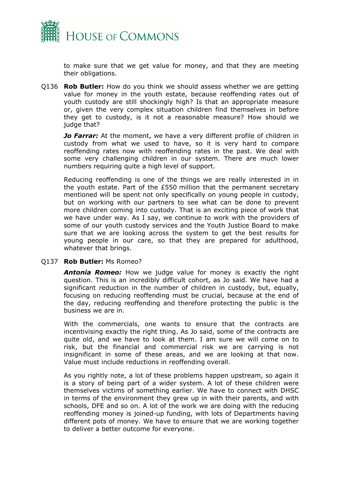

to make sure that we get value for money, and that they are meeting their obligations.

Q136 **Rob Butler:** How do you think we should assess whether we are getting value for money in the youth estate, because reoffending rates out of youth custody are still shockingly high? Is that an appropriate measure or, given the very complex situation children find themselves in before they get to custody, is it not a reasonable measure? How should we judge that?

**Jo Farrar:** At the moment, we have a very different profile of children in custody from what we used to have, so it is very hard to compare reoffending rates now with reoffending rates in the past. We deal with some very challenging children in our system. There are much lower numbers requiring quite a high level of support.

Reducing reoffending is one of the things we are really interested in in the youth estate. Part of the £550 million that the permanent secretary mentioned will be spent not only specifically on young people in custody, but on working with our partners to see what can be done to prevent more children coming into custody. That is an exciting piece of work that we have under way. As I say, we continue to work with the providers of some of our youth custody services and the Youth Justice Board to make sure that we are looking across the system to get the best results for young people in our care, so that they are prepared for adulthood, whatever that brings.

#### Q137 **Rob Butler:** Ms Romeo?

*Antonia Romeo:* How we judge value for money is exactly the right question. This is an incredibly difficult cohort, as Jo said. We have had a significant reduction in the number of children in custody, but, equally, focusing on reducing reoffending must be crucial, because at the end of the day, reducing reoffending and therefore protecting the public is the business we are in.

With the commercials, one wants to ensure that the contracts are incentivising exactly the right thing. As Jo said, some of the contracts are quite old, and we have to look at them. I am sure we will come on to risk, but the financial and commercial risk we are carrying is not insignificant in some of these areas, and we are looking at that now. Value must include reductions in reoffending overall.

As you rightly note, a lot of these problems happen upstream, so again it is a story of being part of a wider system. A lot of these children were themselves victims of something earlier. We have to connect with DHSC in terms of the environment they grew up in with their parents, and with schools, DFE and so on. A lot of the work we are doing with the reducing reoffending money is joined-up funding, with lots of Departments having different pots of money. We have to ensure that we are working together to deliver a better outcome for everyone.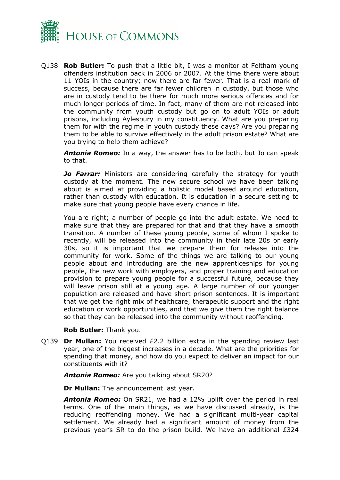

Q138 **Rob Butler:** To push that a little bit, I was a monitor at Feltham young offenders institution back in 2006 or 2007. At the time there were about 11 YOIs in the country; now there are far fewer. That is a real mark of success, because there are far fewer children in custody, but those who are in custody tend to be there for much more serious offences and for much longer periods of time. In fact, many of them are not released into the community from youth custody but go on to adult YOIs or adult prisons, including Aylesbury in my constituency. What are you preparing them for with the regime in youth custody these days? Are you preparing them to be able to survive effectively in the adult prison estate? What are you trying to help them achieve?

*Antonia Romeo:* In a way, the answer has to be both, but Jo can speak to that.

**Jo Farrar:** Ministers are considering carefully the strategy for youth custody at the moment. The new secure school we have been talking about is aimed at providing a holistic model based around education, rather than custody with education. It is education in a secure setting to make sure that young people have every chance in life.

You are right; a number of people go into the adult estate. We need to make sure that they are prepared for that and that they have a smooth transition. A number of these young people, some of whom I spoke to recently, will be released into the community in their late 20s or early 30s, so it is important that we prepare them for release into the community for work. Some of the things we are talking to our young people about and introducing are the new apprenticeships for young people, the new work with employers, and proper training and education provision to prepare young people for a successful future, because they will leave prison still at a young age. A large number of our younger population are released and have short prison sentences. It is important that we get the right mix of healthcare, therapeutic support and the right education or work opportunities, and that we give them the right balance so that they can be released into the community without reoffending.

#### **Rob Butler:** Thank you.

Q139 **Dr Mullan:** You received £2.2 billion extra in the spending review last year, one of the biggest increases in a decade. What are the priorities for spending that money, and how do you expect to deliver an impact for our constituents with it?

*Antonia Romeo:* Are you talking about SR20?

**Dr Mullan:** The announcement last year.

*Antonia Romeo:* On SR21, we had a 12% uplift over the period in real terms. One of the main things, as we have discussed already, is the reducing reoffending money. We had a significant multi-year capital settlement. We already had a significant amount of money from the previous year's SR to do the prison build. We have an additional £324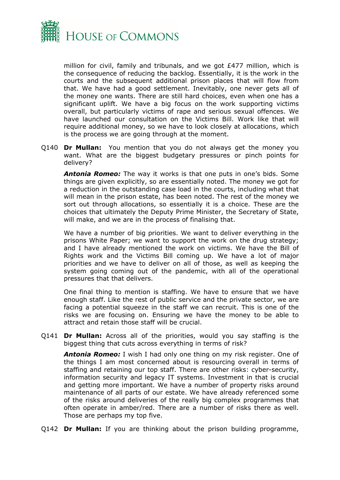

million for civil, family and tribunals, and we got £477 million, which is the consequence of reducing the backlog. Essentially, it is the work in the courts and the subsequent additional prison places that will flow from that. We have had a good settlement. Inevitably, one never gets all of the money one wants. There are still hard choices, even when one has a significant uplift. We have a big focus on the work supporting victims overall, but particularly victims of rape and serious sexual offences. We have launched our consultation on the Victims Bill. Work like that will require additional money, so we have to look closely at allocations, which is the process we are going through at the moment.

Q140 **Dr Mullan:** You mention that you do not always get the money you want. What are the biggest budgetary pressures or pinch points for delivery?

*Antonia Romeo:* The way it works is that one puts in one's bids. Some things are given explicitly, so are essentially noted. The money we got for a reduction in the outstanding case load in the courts, including what that will mean in the prison estate, has been noted. The rest of the money we sort out through allocations, so essentially it is a choice. These are the choices that ultimately the Deputy Prime Minister, the Secretary of State, will make, and we are in the process of finalising that.

We have a number of big priorities. We want to deliver everything in the prisons White Paper; we want to support the work on the drug strategy; and I have already mentioned the work on victims. We have the Bill of Rights work and the Victims Bill coming up. We have a lot of major priorities and we have to deliver on all of those, as well as keeping the system going coming out of the pandemic, with all of the operational pressures that that delivers.

One final thing to mention is staffing. We have to ensure that we have enough staff. Like the rest of public service and the private sector, we are facing a potential squeeze in the staff we can recruit. This is one of the risks we are focusing on. Ensuring we have the money to be able to attract and retain those staff will be crucial.

Q141 **Dr Mullan:** Across all of the priorities, would you say staffing is the biggest thing that cuts across everything in terms of risk?

*Antonia Romeo:* I wish I had only one thing on my risk register. One of the things I am most concerned about is resourcing overall in terms of staffing and retaining our top staff. There are other risks: cyber-security, information security and legacy IT systems. Investment in that is crucial and getting more important. We have a number of property risks around maintenance of all parts of our estate. We have already referenced some of the risks around deliveries of the really big complex programmes that often operate in amber/red. There are a number of risks there as well. Those are perhaps my top five.

Q142 **Dr Mullan:** If you are thinking about the prison building programme,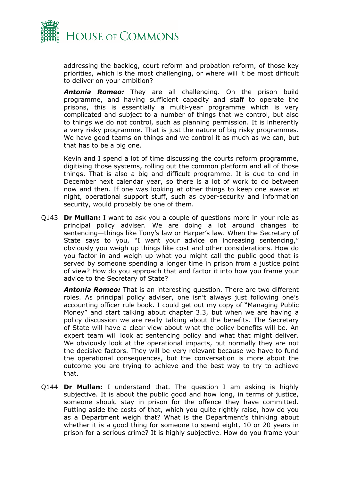

addressing the backlog, court reform and probation reform, of those key priorities, which is the most challenging, or where will it be most difficult to deliver on your ambition?

*Antonia Romeo:* They are all challenging. On the prison build programme, and having sufficient capacity and staff to operate the prisons, this is essentially a multi-year programme which is very complicated and subject to a number of things that we control, but also to things we do not control, such as planning permission. It is inherently a very risky programme. That is just the nature of big risky programmes. We have good teams on things and we control it as much as we can, but that has to be a big one.

Kevin and I spend a lot of time discussing the courts reform programme, digitising those systems, rolling out the common platform and all of those things. That is also a big and difficult programme. It is due to end in December next calendar year, so there is a lot of work to do between now and then. If one was looking at other things to keep one awake at night, operational support stuff, such as cyber-security and information security, would probably be one of them.

Q143 **Dr Mullan:** I want to ask you a couple of questions more in your role as principal policy adviser. We are doing a lot around changes to sentencing—things like Tony's law or Harper's law. When the Secretary of State says to you, "I want your advice on increasing sentencing," obviously you weigh up things like cost and other considerations. How do you factor in and weigh up what you might call the public good that is served by someone spending a longer time in prison from a justice point of view? How do you approach that and factor it into how you frame your advice to the Secretary of State?

*Antonia Romeo:* That is an interesting question. There are two different roles. As principal policy adviser, one isn't always just following one's accounting officer rule book. I could get out my copy of "Managing Public Money" and start talking about chapter 3.3, but when we are having a policy discussion we are really talking about the benefits. The Secretary of State will have a clear view about what the policy benefits will be. An expert team will look at sentencing policy and what that might deliver. We obviously look at the operational impacts, but normally they are not the decisive factors. They will be very relevant because we have to fund the operational consequences, but the conversation is more about the outcome you are trying to achieve and the best way to try to achieve that.

Q144 **Dr Mullan:** I understand that. The question I am asking is highly subjective. It is about the public good and how long, in terms of justice, someone should stay in prison for the offence they have committed. Putting aside the costs of that, which you quite rightly raise, how do you as a Department weigh that? What is the Department's thinking about whether it is a good thing for someone to spend eight, 10 or 20 years in prison for a serious crime? It is highly subjective. How do you frame your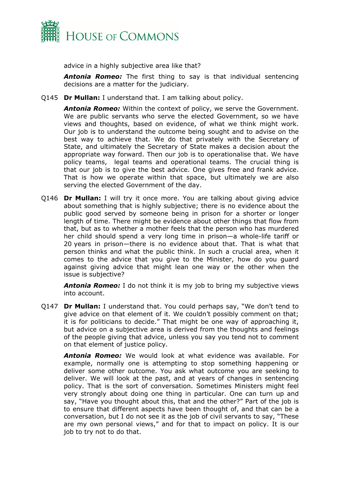

advice in a highly subjective area like that?

*Antonia Romeo:* The first thing to say is that individual sentencing decisions are a matter for the judiciary.

Q145 **Dr Mullan:** I understand that. I am talking about policy.

*Antonia Romeo:* Within the context of policy, we serve the Government. We are public servants who serve the elected Government, so we have views and thoughts, based on evidence, of what we think might work. Our job is to understand the outcome being sought and to advise on the best way to achieve that. We do that privately with the Secretary of State, and ultimately the Secretary of State makes a decision about the appropriate way forward. Then our job is to operationalise that. We have policy teams, legal teams and operational teams. The crucial thing is that our job is to give the best advice. One gives free and frank advice. That is how we operate within that space, but ultimately we are also serving the elected Government of the day.

Q146 **Dr Mullan:** I will try it once more. You are talking about giving advice about something that is highly subjective; there is no evidence about the public good served by someone being in prison for a shorter or longer length of time. There might be evidence about other things that flow from that, but as to whether a mother feels that the person who has murdered her child should spend a very long time in prison—a whole-life tariff or 20 years in prison—there is no evidence about that. That is what that person thinks and what the public think. In such a crucial area, when it comes to the advice that you give to the Minister, how do you guard against giving advice that might lean one way or the other when the issue is subjective?

*Antonia Romeo:* I do not think it is my job to bring my subjective views into account.

Q147 **Dr Mullan:** I understand that. You could perhaps say, "We don't tend to give advice on that element of it. We couldn't possibly comment on that; it is for politicians to decide." That might be one way of approaching it, but advice on a subjective area is derived from the thoughts and feelings of the people giving that advice, unless you say you tend not to comment on that element of justice policy.

*Antonia Romeo:* We would look at what evidence was available. For example, normally one is attempting to stop something happening or deliver some other outcome. You ask what outcome you are seeking to deliver. We will look at the past, and at years of changes in sentencing policy. That is the sort of conversation. Sometimes Ministers might feel very strongly about doing one thing in particular. One can turn up and say, "Have you thought about this, that and the other?" Part of the job is to ensure that different aspects have been thought of, and that can be a conversation, but I do not see it as the job of civil servants to say, "These are my own personal views," and for that to impact on policy. It is our job to try not to do that.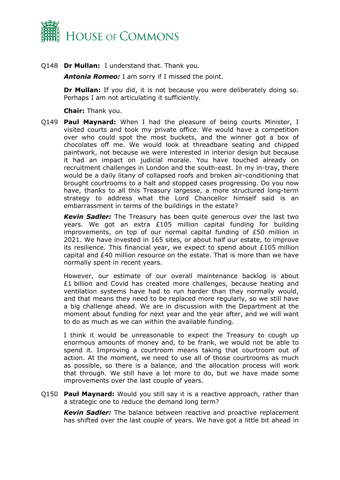

Q148 **Dr Mullan:** I understand that. Thank you.

*Antonia Romeo:* I am sorry if I missed the point.

**Dr Mullan:** If you did, it is not because you were deliberately doing so. Perhaps I am not articulating it sufficiently.

**Chair:** Thank you.

Q149 **Paul Maynard:** When I had the pleasure of being courts Minister, I visited courts and took my private office. We would have a competition over who could spot the most buckets, and the winner got a box of chocolates off me. We would look at threadbare seating and chipped paintwork, not because we were interested in interior design but because it had an impact on judicial morale. You have touched already on recruitment challenges in London and the south-east. In my in-tray, there would be a daily litany of collapsed roofs and broken air-conditioning that brought courtrooms to a halt and stopped cases progressing. Do you now have, thanks to all this Treasury largesse, a more structured long-term strategy to address what the Lord Chancellor himself said is an embarrassment in terms of the buildings in the estate?

*Kevin Sadler:* The Treasury has been quite generous over the last two years. We got an extra £105 million capital funding for building improvements, on top of our normal capital funding of £50 million in 2021. We have invested in 165 sites, or about half our estate, to improve its resilience. This financial year, we expect to spend about £105 million capital and £40 million resource on the estate. That is more than we have normally spent in recent years.

However, our estimate of our overall maintenance backlog is about £1 billion and Covid has created more challenges, because heating and ventilation systems have had to run harder than they normally would, and that means they need to be replaced more regularly, so we still have a big challenge ahead. We are in discussion with the Department at the moment about funding for next year and the year after, and we will want to do as much as we can within the available funding.

I think it would be unreasonable to expect the Treasury to cough up enormous amounts of money and, to be frank, we would not be able to spend it. Improving a courtroom means taking that courtroom out of action. At the moment, we need to use all of those courtrooms as much as possible, so there is a balance, and the allocation process will work that through. We still have a lot more to do, but we have made some improvements over the last couple of years.

Q150 **Paul Maynard:** Would you still say it is a reactive approach, rather than a strategic one to reduce the demand long term?

*Kevin Sadler:* The balance between reactive and proactive replacement has shifted over the last couple of years. We have got a little bit ahead in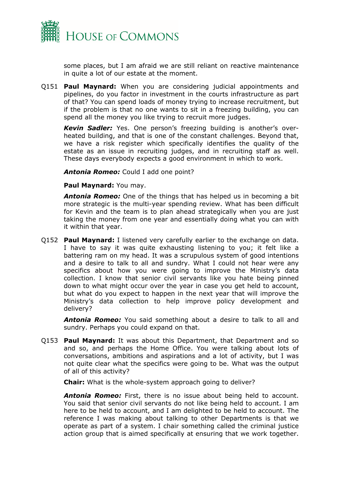

some places, but I am afraid we are still reliant on reactive maintenance in quite a lot of our estate at the moment.

Q151 **Paul Maynard:** When you are considering judicial appointments and pipelines, do you factor in investment in the courts infrastructure as part of that? You can spend loads of money trying to increase recruitment, but if the problem is that no one wants to sit in a freezing building, you can spend all the money you like trying to recruit more judges.

*Kevin Sadler:* Yes. One person's freezing building is another's overheated building, and that is one of the constant challenges. Beyond that, we have a risk register which specifically identifies the quality of the estate as an issue in recruiting judges, and in recruiting staff as well. These days everybody expects a good environment in which to work.

*Antonia Romeo:* Could I add one point?

**Paul Maynard:** You may.

*Antonia Romeo:* One of the things that has helped us in becoming a bit more strategic is the multi-year spending review. What has been difficult for Kevin and the team is to plan ahead strategically when you are just taking the money from one year and essentially doing what you can with it within that year.

Q152 **Paul Maynard:** I listened very carefully earlier to the exchange on data. I have to say it was quite exhausting listening to you; it felt like a battering ram on my head. It was a scrupulous system of good intentions and a desire to talk to all and sundry. What I could not hear were any specifics about how you were going to improve the Ministry's data collection. I know that senior civil servants like you hate being pinned down to what might occur over the year in case you get held to account, but what do you expect to happen in the next year that will improve the Ministry's data collection to help improve policy development and delivery?

*Antonia Romeo:* You said something about a desire to talk to all and sundry. Perhaps you could expand on that.

Q153 **Paul Maynard:** It was about this Department, that Department and so and so, and perhaps the Home Office. You were talking about lots of conversations, ambitions and aspirations and a lot of activity, but I was not quite clear what the specifics were going to be. What was the output of all of this activity?

**Chair:** What is the whole-system approach going to deliver?

*Antonia Romeo:* First, there is no issue about being held to account. You said that senior civil servants do not like being held to account. I am here to be held to account, and I am delighted to be held to account. The reference I was making about talking to other Departments is that we operate as part of a system. I chair something called the criminal justice action group that is aimed specifically at ensuring that we work together.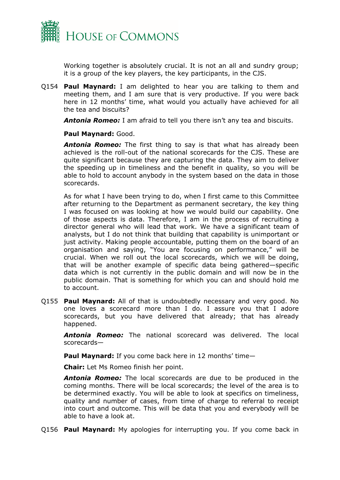

Working together is absolutely crucial. It is not an all and sundry group; it is a group of the key players, the key participants, in the CJS.

Q154 **Paul Maynard:** I am delighted to hear you are talking to them and meeting them, and I am sure that is very productive. If you were back here in 12 months' time, what would you actually have achieved for all the tea and biscuits?

*Antonia Romeo:* I am afraid to tell you there isn't any tea and biscuits.

#### **Paul Maynard:** Good.

*Antonia Romeo:* The first thing to say is that what has already been achieved is the roll-out of the national scorecards for the CJS. These are quite significant because they are capturing the data. They aim to deliver the speeding up in timeliness and the benefit in quality, so you will be able to hold to account anybody in the system based on the data in those scorecards.

As for what I have been trying to do, when I first came to this Committee after returning to the Department as permanent secretary, the key thing I was focused on was looking at how we would build our capability. One of those aspects is data. Therefore, I am in the process of recruiting a director general who will lead that work. We have a significant team of analysts, but I do not think that building that capability is unimportant or just activity. Making people accountable, putting them on the board of an organisation and saying, "You are focusing on performance," will be crucial. When we roll out the local scorecards, which we will be doing, that will be another example of specific data being gathered—specific data which is not currently in the public domain and will now be in the public domain. That is something for which you can and should hold me to account.

Q155 **Paul Maynard:** All of that is undoubtedly necessary and very good. No one loves a scorecard more than I do. I assure you that I adore scorecards, but you have delivered that already; that has already happened.

*Antonia Romeo:* The national scorecard was delivered. The local scorecards—

**Paul Maynard:** If you come back here in 12 months' time—

**Chair:** Let Ms Romeo finish her point.

*Antonia Romeo:* The local scorecards are due to be produced in the coming months. There will be local scorecards; the level of the area is to be determined exactly. You will be able to look at specifics on timeliness, quality and number of cases, from time of charge to referral to receipt into court and outcome. This will be data that you and everybody will be able to have a look at.

Q156 **Paul Maynard:** My apologies for interrupting you. If you come back in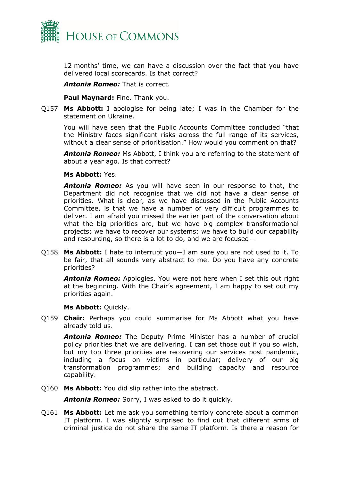

12 months' time, we can have a discussion over the fact that you have delivered local scorecards. Is that correct?

*Antonia Romeo:* That is correct.

**Paul Maynard:** Fine. Thank you.

Q157 **Ms Abbott:** I apologise for being late; I was in the Chamber for the statement on Ukraine.

You will have seen that the Public Accounts Committee concluded "that the Ministry faces significant risks across the full range of its services, without a clear sense of prioritisation." How would you comment on that?

*Antonia Romeo:* Ms Abbott, I think you are referring to the statement of about a year ago. Is that correct?

**Ms Abbott:** Yes.

*Antonia Romeo:* As you will have seen in our response to that, the Department did not recognise that we did not have a clear sense of priorities. What is clear, as we have discussed in the Public Accounts Committee, is that we have a number of very difficult programmes to deliver. I am afraid you missed the earlier part of the conversation about what the big priorities are, but we have big complex transformational projects; we have to recover our systems; we have to build our capability and resourcing, so there is a lot to do, and we are focused—

Q158 **Ms Abbott:** I hate to interrupt you—I am sure you are not used to it. To be fair, that all sounds very abstract to me. Do you have any concrete priorities?

*Antonia Romeo:* Apologies. You were not here when I set this out right at the beginning. With the Chair's agreement, I am happy to set out my priorities again.

**Ms Abbott:** Quickly.

Q159 **Chair:** Perhaps you could summarise for Ms Abbott what you have already told us.

*Antonia Romeo:* The Deputy Prime Minister has a number of crucial policy priorities that we are delivering. I can set those out if you so wish, but my top three priorities are recovering our services post pandemic, including a focus on victims in particular; delivery of our big transformation programmes; and building capacity and resource capability.

Q160 **Ms Abbott:** You did slip rather into the abstract.

*Antonia Romeo:* Sorry, I was asked to do it quickly.

Q161 **Ms Abbott:** Let me ask you something terribly concrete about a common IT platform. I was slightly surprised to find out that different arms of criminal justice do not share the same IT platform. Is there a reason for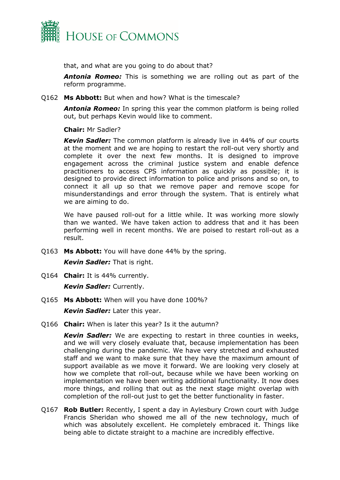

that, and what are you going to do about that?

*Antonia Romeo:* This is something we are rolling out as part of the reform programme.

Q162 **Ms Abbott:** But when and how? What is the timescale?

*Antonia Romeo:* In spring this year the common platform is being rolled out, but perhaps Kevin would like to comment.

#### **Chair:** Mr Sadler?

*Kevin Sadler:* The common platform is already live in 44% of our courts at the moment and we are hoping to restart the roll-out very shortly and complete it over the next few months. It is designed to improve engagement across the criminal justice system and enable defence practitioners to access CPS information as quickly as possible; it is designed to provide direct information to police and prisons and so on, to connect it all up so that we remove paper and remove scope for misunderstandings and error through the system. That is entirely what we are aiming to do.

We have paused roll-out for a little while. It was working more slowly than we wanted. We have taken action to address that and it has been performing well in recent months. We are poised to restart roll-out as a result.

Q163 **Ms Abbott:** You will have done 44% by the spring.

*Kevin Sadler:* That is right.

- Q164 **Chair:** It is 44% currently. *Kevin Sadler:* Currently.
- Q165 **Ms Abbott:** When will you have done 100%?

*Kevin Sadler:* Later this year.

Q166 **Chair:** When is later this year? Is it the autumn?

*Kevin Sadler:* We are expecting to restart in three counties in weeks, and we will very closely evaluate that, because implementation has been challenging during the pandemic. We have very stretched and exhausted staff and we want to make sure that they have the maximum amount of support available as we move it forward. We are looking very closely at how we complete that roll-out, because while we have been working on implementation we have been writing additional functionality. It now does more things, and rolling that out as the next stage might overlap with completion of the roll-out just to get the better functionality in faster.

Q167 **Rob Butler:** Recently, I spent a day in Aylesbury Crown court with Judge Francis Sheridan who showed me all of the new technology, much of which was absolutely excellent. He completely embraced it. Things like being able to dictate straight to a machine are incredibly effective.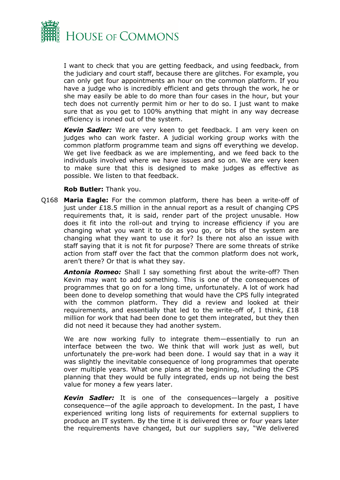

I want to check that you are getting feedback, and using feedback, from the judiciary and court staff, because there are glitches. For example, you can only get four appointments an hour on the common platform. If you have a judge who is incredibly efficient and gets through the work, he or she may easily be able to do more than four cases in the hour, but your tech does not currently permit him or her to do so. I just want to make sure that as you get to 100% anything that might in any way decrease efficiency is ironed out of the system.

*Kevin Sadler:* We are very keen to get feedback. I am very keen on judges who can work faster. A judicial working group works with the common platform programme team and signs off everything we develop. We get live feedback as we are implementing, and we feed back to the individuals involved where we have issues and so on. We are very keen to make sure that this is designed to make judges as effective as possible. We listen to that feedback.

#### **Rob Butler:** Thank you.

Q168 **Maria Eagle:** For the common platform, there has been a write-off of just under £18.5 million in the annual report as a result of changing CPS requirements that, it is said, render part of the project unusable. How does it fit into the roll-out and trying to increase efficiency if you are changing what you want it to do as you go, or bits of the system are changing what they want to use it for? Is there not also an issue with staff saying that it is not fit for purpose? There are some threats of strike action from staff over the fact that the common platform does not work, aren't there? Or that is what they say.

*Antonia Romeo:* Shall I say something first about the write-off? Then Kevin may want to add something. This is one of the consequences of programmes that go on for a long time, unfortunately. A lot of work had been done to develop something that would have the CPS fully integrated with the common platform. They did a review and looked at their requirements, and essentially that led to the write-off of, I think, £18 million for work that had been done to get them integrated, but they then did not need it because they had another system.

We are now working fully to integrate them—essentially to run an interface between the two. We think that will work just as well, but unfortunately the pre-work had been done. I would say that in a way it was slightly the inevitable consequence of long programmes that operate over multiple years. What one plans at the beginning, including the CPS planning that they would be fully integrated, ends up not being the best value for money a few years later.

*Kevin Sadler:* It is one of the consequences—largely a positive consequence—of the agile approach to development. In the past, I have experienced writing long lists of requirements for external suppliers to produce an IT system. By the time it is delivered three or four years later the requirements have changed, but our suppliers say, "We delivered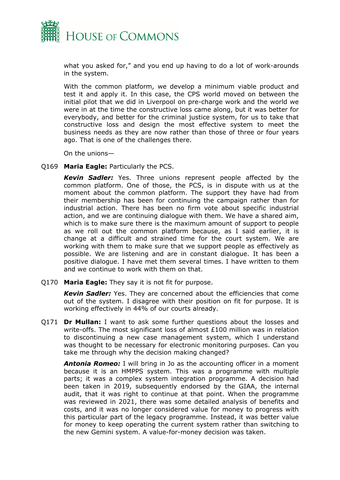

what you asked for," and you end up having to do a lot of work-arounds in the system.

With the common platform, we develop a minimum viable product and test it and apply it. In this case, the CPS world moved on between the initial pilot that we did in Liverpool on pre-charge work and the world we were in at the time the constructive loss came along, but it was better for everybody, and better for the criminal justice system, for us to take that constructive loss and design the most effective system to meet the business needs as they are now rather than those of three or four years ago. That is one of the challenges there.

On the unions—

Q169 **Maria Eagle:** Particularly the PCS.

*Kevin Sadler:* Yes. Three unions represent people affected by the common platform. One of those, the PCS, is in dispute with us at the moment about the common platform. The support they have had from their membership has been for continuing the campaign rather than for industrial action. There has been no firm vote about specific industrial action, and we are continuing dialogue with them. We have a shared aim, which is to make sure there is the maximum amount of support to people as we roll out the common platform because, as I said earlier, it is change at a difficult and strained time for the court system. We are working with them to make sure that we support people as effectively as possible. We are listening and are in constant dialogue. It has been a positive dialogue. I have met them several times. I have written to them and we continue to work with them on that.

Q170 **Maria Eagle:** They say it is not fit for purpose.

*Kevin Sadler:* Yes. They are concerned about the efficiencies that come out of the system. I disagree with their position on fit for purpose. It is working effectively in 44% of our courts already.

Q171 **Dr Mullan:** I want to ask some further questions about the losses and write-offs. The most significant loss of almost £100 million was in relation to discontinuing a new case management system, which I understand was thought to be necessary for electronic monitoring purposes. Can you take me through why the decision making changed?

*Antonia Romeo:* I will bring in Jo as the accounting officer in a moment because it is an HMPPS system. This was a programme with multiple parts; it was a complex system integration programme. A decision had been taken in 2019, subsequently endorsed by the GIAA, the internal audit, that it was right to continue at that point. When the programme was reviewed in 2021, there was some detailed analysis of benefits and costs, and it was no longer considered value for money to progress with this particular part of the legacy programme. Instead, it was better value for money to keep operating the current system rather than switching to the new Gemini system. A value-for-money decision was taken.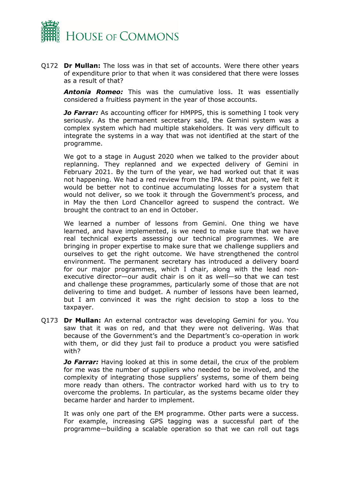

Q172 **Dr Mullan:** The loss was in that set of accounts. Were there other years of expenditure prior to that when it was considered that there were losses as a result of that?

*Antonia Romeo:* This was the cumulative loss. It was essentially considered a fruitless payment in the year of those accounts.

*Jo Farrar:* As accounting officer for HMPPS, this is something I took very seriously. As the permanent secretary said, the Gemini system was a complex system which had multiple stakeholders. It was very difficult to integrate the systems in a way that was not identified at the start of the programme.

We got to a stage in August 2020 when we talked to the provider about replanning. They replanned and we expected delivery of Gemini in February 2021. By the turn of the year, we had worked out that it was not happening. We had a red review from the IPA. At that point, we felt it would be better not to continue accumulating losses for a system that would not deliver, so we took it through the Government's process, and in May the then Lord Chancellor agreed to suspend the contract. We brought the contract to an end in October.

We learned a number of lessons from Gemini. One thing we have learned, and have implemented, is we need to make sure that we have real technical experts assessing our technical programmes. We are bringing in proper expertise to make sure that we challenge suppliers and ourselves to get the right outcome. We have strengthened the control environment. The permanent secretary has introduced a delivery board for our major programmes, which I chair, along with the lead nonexecutive director—our audit chair is on it as well—so that we can test and challenge these programmes, particularly some of those that are not delivering to time and budget. A number of lessons have been learned, but I am convinced it was the right decision to stop a loss to the taxpayer.

Q173 **Dr Mullan:** An external contractor was developing Gemini for you. You saw that it was on red, and that they were not delivering. Was that because of the Government's and the Department's co-operation in work with them, or did they just fail to produce a product you were satisfied with?

**Jo Farrar:** Having looked at this in some detail, the crux of the problem for me was the number of suppliers who needed to be involved, and the complexity of integrating those suppliers' systems, some of them being more ready than others. The contractor worked hard with us to try to overcome the problems. In particular, as the systems became older they became harder and harder to implement.

It was only one part of the EM programme. Other parts were a success. For example, increasing GPS tagging was a successful part of the programme—building a scalable operation so that we can roll out tags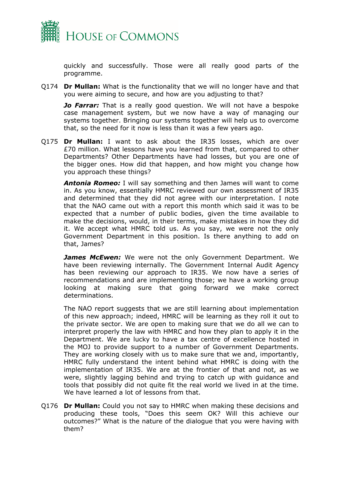

quickly and successfully. Those were all really good parts of the programme.

Q174 **Dr Mullan:** What is the functionality that we will no longer have and that you were aiming to secure, and how are you adjusting to that?

**Jo Farrar:** That is a really good question. We will not have a bespoke case management system, but we now have a way of managing our systems together. Bringing our systems together will help us to overcome that, so the need for it now is less than it was a few years ago.

Q175 **Dr Mullan:** I want to ask about the IR35 losses, which are over £70 million. What lessons have you learned from that, compared to other Departments? Other Departments have had losses, but you are one of the bigger ones. How did that happen, and how might you change how you approach these things?

*Antonia Romeo:* I will say something and then James will want to come in. As you know, essentially HMRC reviewed our own assessment of IR35 and determined that they did not agree with our interpretation. I note that the NAO came out with a report this month which said it was to be expected that a number of public bodies, given the time available to make the decisions, would, in their terms, make mistakes in how they did it. We accept what HMRC told us. As you say, we were not the only Government Department in this position. Is there anything to add on that, James?

*James McEwen:* We were not the only Government Department. We have been reviewing internally. The Government Internal Audit Agency has been reviewing our approach to IR35. We now have a series of recommendations and are implementing those; we have a working group looking at making sure that going forward we make correct determinations.

The NAO report suggests that we are still learning about implementation of this new approach; indeed, HMRC will be learning as they roll it out to the private sector. We are open to making sure that we do all we can to interpret properly the law with HMRC and how they plan to apply it in the Department. We are lucky to have a tax centre of excellence hosted in the MOJ to provide support to a number of Government Departments. They are working closely with us to make sure that we and, importantly, HMRC fully understand the intent behind what HMRC is doing with the implementation of IR35. We are at the frontier of that and not, as we were, slightly lagging behind and trying to catch up with guidance and tools that possibly did not quite fit the real world we lived in at the time. We have learned a lot of lessons from that.

Q176 **Dr Mullan:** Could you not say to HMRC when making these decisions and producing these tools, "Does this seem OK? Will this achieve our outcomes?" What is the nature of the dialogue that you were having with them?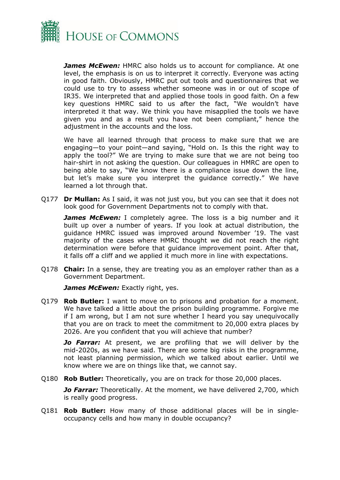

*James McEwen:* HMRC also holds us to account for compliance. At one level, the emphasis is on us to interpret it correctly. Everyone was acting in good faith. Obviously, HMRC put out tools and questionnaires that we could use to try to assess whether someone was in or out of scope of IR35. We interpreted that and applied those tools in good faith. On a few key questions HMRC said to us after the fact, "We wouldn't have interpreted it that way. We think you have misapplied the tools we have given you and as a result you have not been compliant," hence the adjustment in the accounts and the loss.

We have all learned through that process to make sure that we are engaging—to your point—and saying, "Hold on. Is this the right way to apply the tool?" We are trying to make sure that we are not being too hair-shirt in not asking the question. Our colleagues in HMRC are open to being able to say, "We know there is a compliance issue down the line, but let's make sure you interpret the guidance correctly." We have learned a lot through that.

Q177 **Dr Mullan:** As I said, it was not just you, but you can see that it does not look good for Government Departments not to comply with that.

**James McEwen:** I completely agree. The loss is a big number and it built up over a number of years. If you look at actual distribution, the guidance HMRC issued was improved around November '19. The vast majority of the cases where HMRC thought we did not reach the right determination were before that guidance improvement point. After that, it falls off a cliff and we applied it much more in line with expectations.

Q178 **Chair:** In a sense, they are treating you as an employer rather than as a Government Department.

*James McEwen:* Exactly right, yes.

Q179 **Rob Butler:** I want to move on to prisons and probation for a moment. We have talked a little about the prison building programme. Forgive me if I am wrong, but I am not sure whether I heard you say unequivocally that you are on track to meet the commitment to 20,000 extra places by 2026. Are you confident that you will achieve that number?

**Jo Farrar:** At present, we are profiling that we will deliver by the mid-2020s, as we have said. There are some big risks in the programme, not least planning permission, which we talked about earlier. Until we know where we are on things like that, we cannot say.

Q180 **Rob Butler:** Theoretically, you are on track for those 20,000 places.

*Jo Farrar:* Theoretically. At the moment, we have delivered 2,700, which is really good progress.

Q181 **Rob Butler:** How many of those additional places will be in singleoccupancy cells and how many in double occupancy?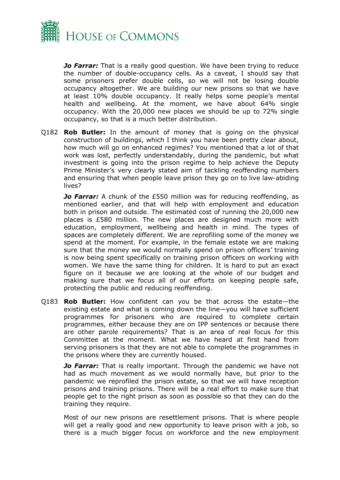

*Jo Farrar:* That is a really good question. We have been trying to reduce the number of double-occupancy cells. As a caveat, I should say that some prisoners prefer double cells, so we will not be losing double occupancy altogether. We are building our new prisons so that we have at least 10% double occupancy. It really helps some people's mental health and wellbeing. At the moment, we have about 64% single occupancy. With the 20,000 new places we should be up to 72% single occupancy, so that is a much better distribution.

Q182 **Rob Butler:** In the amount of money that is going on the physical construction of buildings, which I think you have been pretty clear about, how much will go on enhanced regimes? You mentioned that a lot of that work was lost, perfectly understandably, during the pandemic, but what investment is going into the prison regime to help achieve the Deputy Prime Minister's very clearly stated aim of tackling reoffending numbers and ensuring that when people leave prison they go on to live law-abiding lives?

*Jo Farrar:* A chunk of the £550 million was for reducing reoffending, as mentioned earlier, and that will help with employment and education both in prison and outside. The estimated cost of running the 20,000 new places is £580 million. The new places are designed much more with education, employment, wellbeing and health in mind. The types of spaces are completely different. We are reprofiling some of the money we spend at the moment. For example, in the female estate we are making sure that the money we would normally spend on prison officers' training is now being spent specifically on training prison officers on working with women. We have the same thing for children. It is hard to put an exact figure on it because we are looking at the whole of our budget and making sure that we focus all of our efforts on keeping people safe, protecting the public and reducing reoffending.

Q183 **Rob Butler:** How confident can you be that across the estate—the existing estate and what is coming down the line—you will have sufficient programmes for prisoners who are required to complete certain programmes, either because they are on IPP sentences or because there are other parole requirements? That is an area of real focus for this Committee at the moment. What we have heard at first hand from serving prisoners is that they are not able to complete the programmes in the prisons where they are currently housed.

*Jo Farrar:* That is really important. Through the pandemic we have not had as much movement as we would normally have, but prior to the pandemic we reprofiled the prison estate, so that we will have reception prisons and training prisons. There will be a real effort to make sure that people get to the right prison as soon as possible so that they can do the training they require.

Most of our new prisons are resettlement prisons. That is where people will get a really good and new opportunity to leave prison with a job, so there is a much bigger focus on workforce and the new employment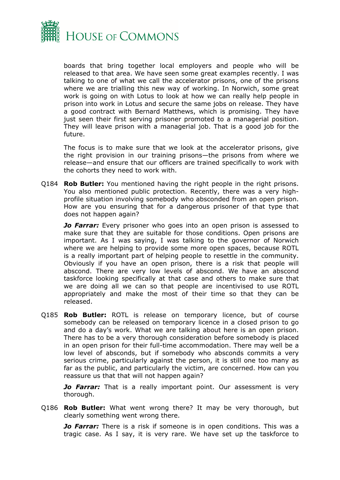

boards that bring together local employers and people who will be released to that area. We have seen some great examples recently. I was talking to one of what we call the accelerator prisons, one of the prisons where we are trialling this new way of working. In Norwich, some great work is going on with Lotus to look at how we can really help people in prison into work in Lotus and secure the same jobs on release. They have a good contract with Bernard Matthews, which is promising. They have just seen their first serving prisoner promoted to a managerial position. They will leave prison with a managerial job. That is a good job for the future.

The focus is to make sure that we look at the accelerator prisons, give the right provision in our training prisons—the prisons from where we release—and ensure that our officers are trained specifically to work with the cohorts they need to work with.

Q184 **Rob Butler:** You mentioned having the right people in the right prisons. You also mentioned public protection. Recently, there was a very highprofile situation involving somebody who absconded from an open prison. How are you ensuring that for a dangerous prisoner of that type that does not happen again?

*Jo Farrar:* Every prisoner who goes into an open prison is assessed to make sure that they are suitable for those conditions. Open prisons are important. As I was saying, I was talking to the governor of Norwich where we are helping to provide some more open spaces, because ROTL is a really important part of helping people to resettle in the community. Obviously if you have an open prison, there is a risk that people will abscond. There are very low levels of abscond. We have an abscond taskforce looking specifically at that case and others to make sure that we are doing all we can so that people are incentivised to use ROTL appropriately and make the most of their time so that they can be released.

Q185 **Rob Butler:** ROTL is release on temporary licence, but of course somebody can be released on temporary licence in a closed prison to go and do a day's work. What we are talking about here is an open prison. There has to be a very thorough consideration before somebody is placed in an open prison for their full-time accommodation. There may well be a low level of absconds, but if somebody who absconds commits a very serious crime, particularly against the person, it is still one too many as far as the public, and particularly the victim, are concerned. How can you reassure us that that will not happen again?

*Jo Farrar:* That is a really important point. Our assessment is very thorough.

Q186 **Rob Butler:** What went wrong there? It may be very thorough, but clearly something went wrong there.

*Jo Farrar:* There is a risk if someone is in open conditions. This was a tragic case. As I say, it is very rare. We have set up the taskforce to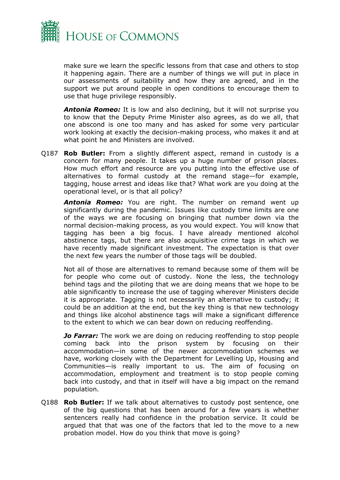

make sure we learn the specific lessons from that case and others to stop it happening again. There are a number of things we will put in place in our assessments of suitability and how they are agreed, and in the support we put around people in open conditions to encourage them to use that huge privilege responsibly.

*Antonia Romeo:* It is low and also declining, but it will not surprise you to know that the Deputy Prime Minister also agrees, as do we all, that one abscond is one too many and has asked for some very particular work looking at exactly the decision-making process, who makes it and at what point he and Ministers are involved.

Q187 **Rob Butler:** From a slightly different aspect, remand in custody is a concern for many people. It takes up a huge number of prison places. How much effort and resource are you putting into the effective use of alternatives to formal custody at the remand stage—for example, tagging, house arrest and ideas like that? What work are you doing at the operational level, or is that all policy?

*Antonia Romeo:* You are right. The number on remand went up significantly during the pandemic. Issues like custody time limits are one of the ways we are focusing on bringing that number down via the normal decision-making process, as you would expect. You will know that tagging has been a big focus. I have already mentioned alcohol abstinence tags, but there are also acquisitive crime tags in which we have recently made significant investment. The expectation is that over the next few years the number of those tags will be doubled.

Not all of those are alternatives to remand because some of them will be for people who come out of custody. None the less, the technology behind tags and the piloting that we are doing means that we hope to be able significantly to increase the use of tagging wherever Ministers decide it is appropriate. Tagging is not necessarily an alternative to custody; it could be an addition at the end, but the key thing is that new technology and things like alcohol abstinence tags will make a significant difference to the extent to which we can bear down on reducing reoffending.

*Jo Farrar:* The work we are doing on reducing reoffending to stop people coming back into the prison system by focusing on their accommodation—in some of the newer accommodation schemes we have, working closely with the Department for Levelling Up, Housing and Communities—is really important to us. The aim of focusing on accommodation, employment and treatment is to stop people coming back into custody, and that in itself will have a big impact on the remand population.

Q188 **Rob Butler:** If we talk about alternatives to custody post sentence, one of the big questions that has been around for a few years is whether sentencers really had confidence in the probation service. It could be argued that that was one of the factors that led to the move to a new probation model. How do you think that move is going?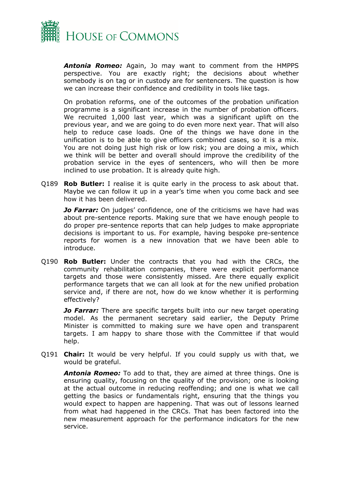

*Antonia Romeo:* Again, Jo may want to comment from the HMPPS perspective. You are exactly right; the decisions about whether somebody is on tag or in custody are for sentencers. The question is how we can increase their confidence and credibility in tools like tags.

On probation reforms, one of the outcomes of the probation unification programme is a significant increase in the number of probation officers. We recruited 1,000 last year, which was a significant uplift on the previous year, and we are going to do even more next year. That will also help to reduce case loads. One of the things we have done in the unification is to be able to give officers combined cases, so it is a mix. You are not doing just high risk or low risk; you are doing a mix, which we think will be better and overall should improve the credibility of the probation service in the eyes of sentencers, who will then be more inclined to use probation. It is already quite high.

Q189 **Rob Butler:** I realise it is quite early in the process to ask about that. Maybe we can follow it up in a year's time when you come back and see how it has been delivered.

*Jo Farrar:* On judges' confidence, one of the criticisms we have had was about pre-sentence reports. Making sure that we have enough people to do proper pre-sentence reports that can help judges to make appropriate decisions is important to us. For example, having bespoke pre-sentence reports for women is a new innovation that we have been able to introduce.

Q190 **Rob Butler:** Under the contracts that you had with the CRCs, the community rehabilitation companies, there were explicit performance targets and those were consistently missed. Are there equally explicit performance targets that we can all look at for the new unified probation service and, if there are not, how do we know whether it is performing effectively?

**Jo Farrar:** There are specific targets built into our new target operating model. As the permanent secretary said earlier, the Deputy Prime Minister is committed to making sure we have open and transparent targets. I am happy to share those with the Committee if that would help.

Q191 **Chair:** It would be very helpful. If you could supply us with that, we would be grateful.

*Antonia Romeo:* To add to that, they are aimed at three things. One is ensuring quality, focusing on the quality of the provision; one is looking at the actual outcome in reducing reoffending; and one is what we call getting the basics or fundamentals right, ensuring that the things you would expect to happen are happening. That was out of lessons learned from what had happened in the CRCs. That has been factored into the new measurement approach for the performance indicators for the new service.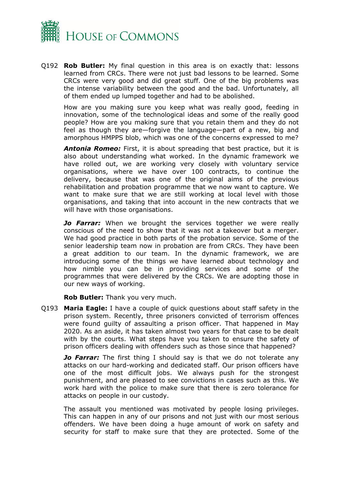

Q192 **Rob Butler:** My final question in this area is on exactly that: lessons learned from CRCs. There were not just bad lessons to be learned. Some CRCs were very good and did great stuff. One of the big problems was the intense variability between the good and the bad. Unfortunately, all of them ended up lumped together and had to be abolished.

How are you making sure you keep what was really good, feeding in innovation, some of the technological ideas and some of the really good people? How are you making sure that you retain them and they do not feel as though they are—forgive the language—part of a new, big and amorphous HMPPS blob, which was one of the concerns expressed to me?

*Antonia Romeo:* First, it is about spreading that best practice, but it is also about understanding what worked. In the dynamic framework we have rolled out, we are working very closely with voluntary service organisations, where we have over 100 contracts, to continue the delivery, because that was one of the original aims of the previous rehabilitation and probation programme that we now want to capture. We want to make sure that we are still working at local level with those organisations, and taking that into account in the new contracts that we will have with those organisations.

*Jo Farrar:* When we brought the services together we were really conscious of the need to show that it was not a takeover but a merger. We had good practice in both parts of the probation service. Some of the senior leadership team now in probation are from CRCs. They have been a great addition to our team. In the dynamic framework, we are introducing some of the things we have learned about technology and how nimble you can be in providing services and some of the programmes that were delivered by the CRCs. We are adopting those in our new ways of working.

**Rob Butler:** Thank you very much.

Q193 **Maria Eagle:** I have a couple of quick questions about staff safety in the prison system. Recently, three prisoners convicted of terrorism offences were found guilty of assaulting a prison officer. That happened in May 2020. As an aside, it has taken almost two years for that case to be dealt with by the courts. What steps have you taken to ensure the safety of prison officers dealing with offenders such as those since that happened?

*Jo Farrar:* The first thing I should say is that we do not tolerate any attacks on our hard-working and dedicated staff. Our prison officers have one of the most difficult jobs. We always push for the strongest punishment, and are pleased to see convictions in cases such as this. We work hard with the police to make sure that there is zero tolerance for attacks on people in our custody.

The assault you mentioned was motivated by people losing privileges. This can happen in any of our prisons and not just with our most serious offenders. We have been doing a huge amount of work on safety and security for staff to make sure that they are protected. Some of the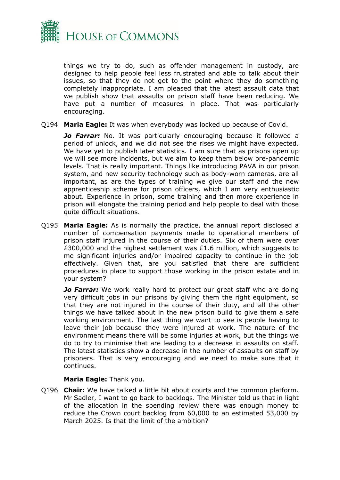

things we try to do, such as offender management in custody, are designed to help people feel less frustrated and able to talk about their issues, so that they do not get to the point where they do something completely inappropriate. I am pleased that the latest assault data that we publish show that assaults on prison staff have been reducing. We have put a number of measures in place. That was particularly encouraging.

Q194 **Maria Eagle:** It was when everybody was locked up because of Covid.

*Jo Farrar:* No. It was particularly encouraging because it followed a period of unlock, and we did not see the rises we might have expected. We have yet to publish later statistics. I am sure that as prisons open up we will see more incidents, but we aim to keep them below pre-pandemic levels. That is really important. Things like introducing PAVA in our prison system, and new security technology such as body-worn cameras, are all important, as are the types of training we give our staff and the new apprenticeship scheme for prison officers, which I am very enthusiastic about. Experience in prison, some training and then more experience in prison will elongate the training period and help people to deal with those quite difficult situations.

Q195 **Maria Eagle:** As is normally the practice, the annual report disclosed a number of compensation payments made to operational members of prison staff injured in the course of their duties. Six of them were over £300,000 and the highest settlement was £1.6 million, which suggests to me significant injuries and/or impaired capacity to continue in the job effectively. Given that, are you satisfied that there are sufficient procedures in place to support those working in the prison estate and in your system?

**Jo Farrar:** We work really hard to protect our great staff who are doing very difficult jobs in our prisons by giving them the right equipment, so that they are not injured in the course of their duty, and all the other things we have talked about in the new prison build to give them a safe working environment. The last thing we want to see is people having to leave their job because they were injured at work. The nature of the environment means there will be some injuries at work, but the things we do to try to minimise that are leading to a decrease in assaults on staff. The latest statistics show a decrease in the number of assaults on staff by prisoners. That is very encouraging and we need to make sure that it continues.

#### **Maria Eagle:** Thank you.

Q196 **Chair:** We have talked a little bit about courts and the common platform. Mr Sadler, I want to go back to backlogs. The Minister told us that in light of the allocation in the spending review there was enough money to reduce the Crown court backlog from 60,000 to an estimated 53,000 by March 2025. Is that the limit of the ambition?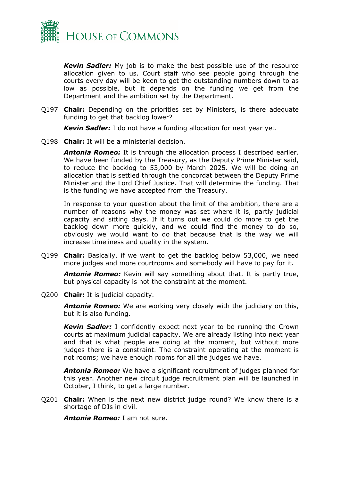

*Kevin Sadler:* My job is to make the best possible use of the resource allocation given to us. Court staff who see people going through the courts every day will be keen to get the outstanding numbers down to as low as possible, but it depends on the funding we get from the Department and the ambition set by the Department.

Q197 **Chair:** Depending on the priorities set by Ministers, is there adequate funding to get that backlog lower?

*Kevin Sadler:* I do not have a funding allocation for next year yet.

Q198 **Chair:** It will be a ministerial decision.

*Antonia Romeo:* It is through the allocation process I described earlier. We have been funded by the Treasury, as the Deputy Prime Minister said, to reduce the backlog to 53,000 by March 2025. We will be doing an allocation that is settled through the concordat between the Deputy Prime Minister and the Lord Chief Justice. That will determine the funding. That is the funding we have accepted from the Treasury.

In response to your question about the limit of the ambition, there are a number of reasons why the money was set where it is, partly judicial capacity and sitting days. If it turns out we could do more to get the backlog down more quickly, and we could find the money to do so, obviously we would want to do that because that is the way we will increase timeliness and quality in the system.

Q199 **Chair:** Basically, if we want to get the backlog below 53,000, we need more judges and more courtrooms and somebody will have to pay for it.

*Antonia Romeo:* Kevin will say something about that. It is partly true, but physical capacity is not the constraint at the moment.

Q200 **Chair:** It is judicial capacity.

*Antonia Romeo:* We are working very closely with the judiciary on this, but it is also funding.

*Kevin Sadler:* I confidently expect next year to be running the Crown courts at maximum judicial capacity. We are already listing into next year and that is what people are doing at the moment, but without more judges there is a constraint. The constraint operating at the moment is not rooms; we have enough rooms for all the judges we have.

*Antonia Romeo:* We have a significant recruitment of judges planned for this year. Another new circuit judge recruitment plan will be launched in October, I think, to get a large number.

Q201 **Chair:** When is the next new district judge round? We know there is a shortage of DJs in civil.

*Antonia Romeo:* I am not sure.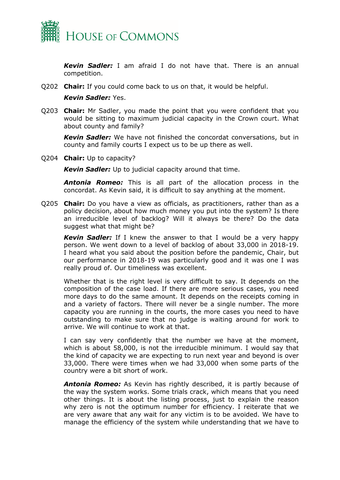

*Kevin Sadler:* I am afraid I do not have that. There is an annual competition.

Q202 **Chair:** If you could come back to us on that, it would be helpful.

#### *Kevin Sadler:* Yes.

Q203 **Chair:** Mr Sadler, you made the point that you were confident that you would be sitting to maximum judicial capacity in the Crown court. What about county and family?

*Kevin Sadler:* We have not finished the concordat conversations, but in county and family courts I expect us to be up there as well.

Q204 **Chair:** Up to capacity?

*Kevin Sadler:* Up to judicial capacity around that time.

*Antonia Romeo:* This is all part of the allocation process in the concordat. As Kevin said, it is difficult to say anything at the moment.

Q205 **Chair:** Do you have a view as officials, as practitioners, rather than as a policy decision, about how much money you put into the system? Is there an irreducible level of backlog? Will it always be there? Do the data suggest what that might be?

*Kevin Sadler:* If I knew the answer to that I would be a very happy person. We went down to a level of backlog of about 33,000 in 2018-19. I heard what you said about the position before the pandemic, Chair, but our performance in 2018-19 was particularly good and it was one I was really proud of. Our timeliness was excellent.

Whether that is the right level is very difficult to say. It depends on the composition of the case load. If there are more serious cases, you need more days to do the same amount. It depends on the receipts coming in and a variety of factors. There will never be a single number. The more capacity you are running in the courts, the more cases you need to have outstanding to make sure that no judge is waiting around for work to arrive. We will continue to work at that.

I can say very confidently that the number we have at the moment, which is about 58,000, is not the irreducible minimum. I would say that the kind of capacity we are expecting to run next year and beyond is over 33,000. There were times when we had 33,000 when some parts of the country were a bit short of work.

*Antonia Romeo:* As Kevin has rightly described, it is partly because of the way the system works. Some trials crack, which means that you need other things. It is about the listing process, just to explain the reason why zero is not the optimum number for efficiency. I reiterate that we are very aware that any wait for any victim is to be avoided. We have to manage the efficiency of the system while understanding that we have to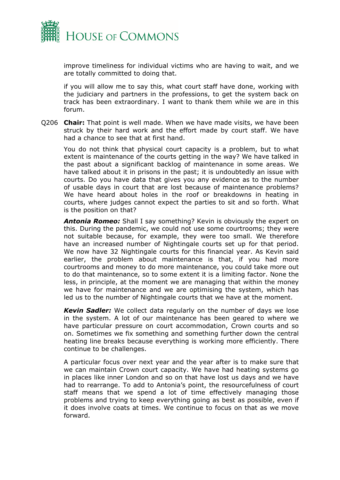

improve timeliness for individual victims who are having to wait, and we are totally committed to doing that.

if you will allow me to say this, what court staff have done, working with the judiciary and partners in the professions, to get the system back on track has been extraordinary. I want to thank them while we are in this forum.

Q206 **Chair:** That point is well made. When we have made visits, we have been struck by their hard work and the effort made by court staff. We have had a chance to see that at first hand.

You do not think that physical court capacity is a problem, but to what extent is maintenance of the courts getting in the way? We have talked in the past about a significant backlog of maintenance in some areas. We have talked about it in prisons in the past; it is undoubtedly an issue with courts. Do you have data that gives you any evidence as to the number of usable days in court that are lost because of maintenance problems? We have heard about holes in the roof or breakdowns in heating in courts, where judges cannot expect the parties to sit and so forth. What is the position on that?

*Antonia Romeo:* Shall I say something? Kevin is obviously the expert on this. During the pandemic, we could not use some courtrooms; they were not suitable because, for example, they were too small. We therefore have an increased number of Nightingale courts set up for that period. We now have 32 Nightingale courts for this financial year. As Kevin said earlier, the problem about maintenance is that, if you had more courtrooms and money to do more maintenance, you could take more out to do that maintenance, so to some extent it is a limiting factor. None the less, in principle, at the moment we are managing that within the money we have for maintenance and we are optimising the system, which has led us to the number of Nightingale courts that we have at the moment.

*Kevin Sadler:* We collect data regularly on the number of days we lose in the system. A lot of our maintenance has been geared to where we have particular pressure on court accommodation, Crown courts and so on. Sometimes we fix something and something further down the central heating line breaks because everything is working more efficiently. There continue to be challenges.

A particular focus over next year and the year after is to make sure that we can maintain Crown court capacity. We have had heating systems go in places like inner London and so on that have lost us days and we have had to rearrange. To add to Antonia's point, the resourcefulness of court staff means that we spend a lot of time effectively managing those problems and trying to keep everything going as best as possible, even if it does involve coats at times. We continue to focus on that as we move forward.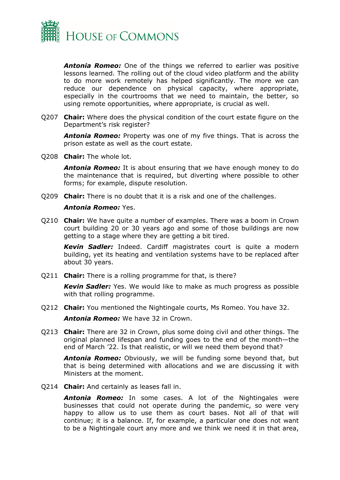

*Antonia Romeo:* One of the things we referred to earlier was positive lessons learned. The rolling out of the cloud video platform and the ability to do more work remotely has helped significantly. The more we can reduce our dependence on physical capacity, where appropriate, especially in the courtrooms that we need to maintain, the better, so using remote opportunities, where appropriate, is crucial as well.

Q207 **Chair:** Where does the physical condition of the court estate figure on the Department's risk register?

*Antonia Romeo:* Property was one of my five things. That is across the prison estate as well as the court estate.

Q208 **Chair:** The whole lot.

*Antonia Romeo:* It is about ensuring that we have enough money to do the maintenance that is required, but diverting where possible to other forms; for example, dispute resolution.

Q209 **Chair:** There is no doubt that it is a risk and one of the challenges.

#### *Antonia Romeo:* Yes.

Q210 **Chair:** We have quite a number of examples. There was a boom in Crown court building 20 or 30 years ago and some of those buildings are now getting to a stage where they are getting a bit tired.

*Kevin Sadler:* Indeed. Cardiff magistrates court is quite a modern building, yet its heating and ventilation systems have to be replaced after about 30 years.

Q211 **Chair:** There is a rolling programme for that, is there?

*Kevin Sadler:* Yes. We would like to make as much progress as possible with that rolling programme.

Q212 **Chair:** You mentioned the Nightingale courts, Ms Romeo. You have 32.

*Antonia Romeo:* We have 32 in Crown.

Q213 **Chair:** There are 32 in Crown, plus some doing civil and other things. The original planned lifespan and funding goes to the end of the month—the end of March '22. Is that realistic, or will we need them beyond that?

*Antonia Romeo:* Obviously, we will be funding some beyond that, but that is being determined with allocations and we are discussing it with Ministers at the moment.

Q214 **Chair:** And certainly as leases fall in.

*Antonia Romeo:* In some cases. A lot of the Nightingales were businesses that could not operate during the pandemic, so were very happy to allow us to use them as court bases. Not all of that will continue; it is a balance. If, for example, a particular one does not want to be a Nightingale court any more and we think we need it in that area,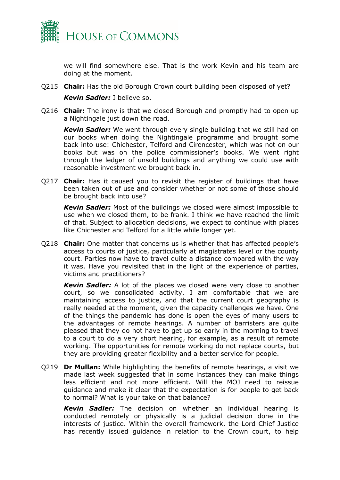

we will find somewhere else. That is the work Kevin and his team are doing at the moment.

Q215 **Chair:** Has the old Borough Crown court building been disposed of yet?

*Kevin Sadler:* I believe so.

Q216 **Chair:** The irony is that we closed Borough and promptly had to open up a Nightingale just down the road.

*Kevin Sadler:* We went through every single building that we still had on our books when doing the Nightingale programme and brought some back into use: Chichester, Telford and Cirencester, which was not on our books but was on the police commissioner's books. We went right through the ledger of unsold buildings and anything we could use with reasonable investment we brought back in.

Q217 **Chair:** Has it caused you to revisit the register of buildings that have been taken out of use and consider whether or not some of those should be brought back into use?

*Kevin Sadler:* Most of the buildings we closed were almost impossible to use when we closed them, to be frank. I think we have reached the limit of that. Subject to allocation decisions, we expect to continue with places like Chichester and Telford for a little while longer yet.

Q218 **Chair:** One matter that concerns us is whether that has affected people's access to courts of justice, particularly at magistrates level or the county court. Parties now have to travel quite a distance compared with the way it was. Have you revisited that in the light of the experience of parties, victims and practitioners?

*Kevin Sadler:* A lot of the places we closed were very close to another court, so we consolidated activity. I am comfortable that we are maintaining access to justice, and that the current court geography is really needed at the moment, given the capacity challenges we have. One of the things the pandemic has done is open the eyes of many users to the advantages of remote hearings. A number of barristers are quite pleased that they do not have to get up so early in the morning to travel to a court to do a very short hearing, for example, as a result of remote working. The opportunities for remote working do not replace courts, but they are providing greater flexibility and a better service for people.

Q219 **Dr Mullan:** While highlighting the benefits of remote hearings, a visit we made last week suggested that in some instances they can make things less efficient and not more efficient. Will the MOJ need to reissue guidance and make it clear that the expectation is for people to get back to normal? What is your take on that balance?

*Kevin Sadler:* The decision on whether an individual hearing is conducted remotely or physically is a judicial decision done in the interests of justice. Within the overall framework, the Lord Chief Justice has recently issued guidance in relation to the Crown court, to help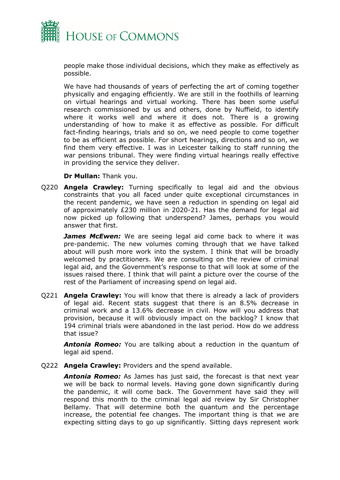

people make those individual decisions, which they make as effectively as possible.

We have had thousands of years of perfecting the art of coming together physically and engaging efficiently. We are still in the foothills of learning on virtual hearings and virtual working. There has been some useful research commissioned by us and others, done by Nuffield, to identify where it works well and where it does not. There is a growing understanding of how to make it as effective as possible. For difficult fact-finding hearings, trials and so on, we need people to come together to be as efficient as possible. For short hearings, directions and so on, we find them very effective. I was in Leicester talking to staff running the war pensions tribunal. They were finding virtual hearings really effective in providing the service they deliver.

**Dr Mullan:** Thank you.

Q220 **Angela Crawley:** Turning specifically to legal aid and the obvious constraints that you all faced under quite exceptional circumstances in the recent pandemic, we have seen a reduction in spending on legal aid of approximately £230 million in 2020-21. Has the demand for legal aid now picked up following that underspend? James, perhaps you would answer that first.

*James McEwen:* We are seeing legal aid come back to where it was pre-pandemic. The new volumes coming through that we have talked about will push more work into the system. I think that will be broadly welcomed by practitioners. We are consulting on the review of criminal legal aid, and the Government's response to that will look at some of the issues raised there. I think that will paint a picture over the course of the rest of the Parliament of increasing spend on legal aid.

Q221 **Angela Crawley:** You will know that there is already a lack of providers of legal aid. Recent stats suggest that there is an 8.5% decrease in criminal work and a 13.6% decrease in civil. How will you address that provision, because it will obviously impact on the backlog? I know that 194 criminal trials were abandoned in the last period. How do we address that issue?

*Antonia Romeo:* You are talking about a reduction in the quantum of legal aid spend.

Q222 **Angela Crawley:** Providers and the spend available.

*Antonia Romeo:* As James has just said, the forecast is that next year we will be back to normal levels. Having gone down significantly during the pandemic, it will come back. The Government have said they will respond this month to the criminal legal aid review by Sir Christopher Bellamy. That will determine both the quantum and the percentage increase, the potential fee changes. The important thing is that we are expecting sitting days to go up significantly. Sitting days represent work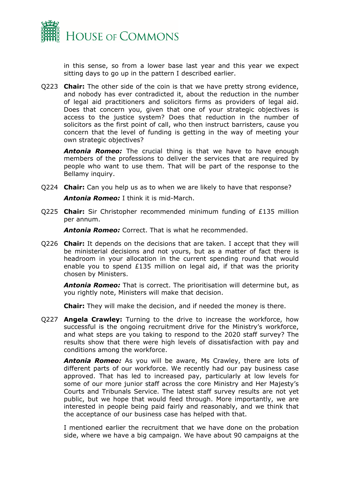

in this sense, so from a lower base last year and this year we expect sitting days to go up in the pattern I described earlier.

Q223 **Chair:** The other side of the coin is that we have pretty strong evidence, and nobody has ever contradicted it, about the reduction in the number of legal aid practitioners and solicitors firms as providers of legal aid. Does that concern you, given that one of your strategic objectives is access to the justice system? Does that reduction in the number of solicitors as the first point of call, who then instruct barristers, cause you concern that the level of funding is getting in the way of meeting your own strategic objectives?

**Antonia Romeo:** The crucial thing is that we have to have enough members of the professions to deliver the services that are required by people who want to use them. That will be part of the response to the Bellamy inquiry.

Q224 **Chair:** Can you help us as to when we are likely to have that response?

*Antonia Romeo:* I think it is mid-March.

Q225 **Chair:** Sir Christopher recommended minimum funding of £135 million per annum.

*Antonia Romeo:* Correct. That is what he recommended.

Q226 **Chair:** It depends on the decisions that are taken. I accept that they will be ministerial decisions and not yours, but as a matter of fact there is headroom in your allocation in the current spending round that would enable you to spend £135 million on legal aid, if that was the priority chosen by Ministers.

*Antonia Romeo:* That is correct. The prioritisation will determine but, as you rightly note, Ministers will make that decision.

**Chair:** They will make the decision, and if needed the money is there.

Q227 **Angela Crawley:** Turning to the drive to increase the workforce, how successful is the ongoing recruitment drive for the Ministry's workforce, and what steps are you taking to respond to the 2020 staff survey? The results show that there were high levels of dissatisfaction with pay and conditions among the workforce.

*Antonia Romeo:* As you will be aware, Ms Crawley, there are lots of different parts of our workforce. We recently had our pay business case approved. That has led to increased pay, particularly at low levels for some of our more junior staff across the core Ministry and Her Majesty's Courts and Tribunals Service. The latest staff survey results are not yet public, but we hope that would feed through. More importantly, we are interested in people being paid fairly and reasonably, and we think that the acceptance of our business case has helped with that.

I mentioned earlier the recruitment that we have done on the probation side, where we have a big campaign. We have about 90 campaigns at the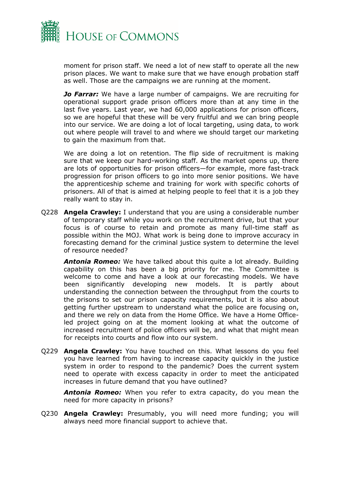

moment for prison staff. We need a lot of new staff to operate all the new prison places. We want to make sure that we have enough probation staff as well. Those are the campaigns we are running at the moment.

*Jo Farrar:* We have a large number of campaigns. We are recruiting for operational support grade prison officers more than at any time in the last five years. Last year, we had 60,000 applications for prison officers, so we are hopeful that these will be very fruitful and we can bring people into our service. We are doing a lot of local targeting, using data, to work out where people will travel to and where we should target our marketing to gain the maximum from that.

We are doing a lot on retention. The flip side of recruitment is making sure that we keep our hard-working staff. As the market opens up, there are lots of opportunities for prison officers—for example, more fast-track progression for prison officers to go into more senior positions. We have the apprenticeship scheme and training for work with specific cohorts of prisoners. All of that is aimed at helping people to feel that it is a job they really want to stay in.

Q228 **Angela Crawley:** I understand that you are using a considerable number of temporary staff while you work on the recruitment drive, but that your focus is of course to retain and promote as many full-time staff as possible within the MOJ. What work is being done to improve accuracy in forecasting demand for the criminal justice system to determine the level of resource needed?

*Antonia Romeo:* We have talked about this quite a lot already. Building capability on this has been a big priority for me. The Committee is welcome to come and have a look at our forecasting models. We have been significantly developing new models. It is partly about understanding the connection between the throughput from the courts to the prisons to set our prison capacity requirements, but it is also about getting further upstream to understand what the police are focusing on, and there we rely on data from the Home Office. We have a Home Officeled project going on at the moment looking at what the outcome of increased recruitment of police officers will be, and what that might mean for receipts into courts and flow into our system.

Q229 **Angela Crawley:** You have touched on this. What lessons do you feel you have learned from having to increase capacity quickly in the justice system in order to respond to the pandemic? Does the current system need to operate with excess capacity in order to meet the anticipated increases in future demand that you have outlined?

*Antonia Romeo:* When you refer to extra capacity, do you mean the need for more capacity in prisons?

Q230 **Angela Crawley:** Presumably, you will need more funding; you will always need more financial support to achieve that.